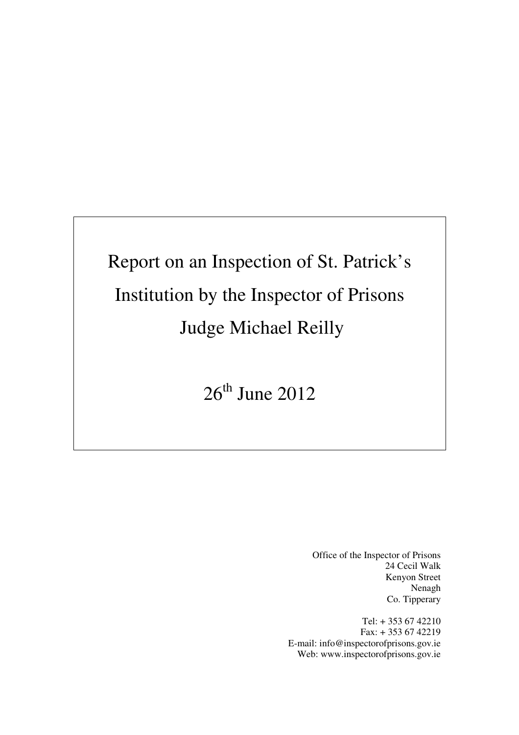# Report on an Inspection of St. Patrick's Institution by the Inspector of Prisons Judge Michael Reilly

 $26<sup>th</sup>$  June  $2012$ 

Office of the Inspector of Prisons 24 Cecil Walk Kenyon Street Nenagh Co. Tipperary

Tel: + 353 67 42210 Fax: + 353 67 42219 E-mail: info@inspectorofprisons.gov.ie Web: www.inspectorofprisons.gov.ie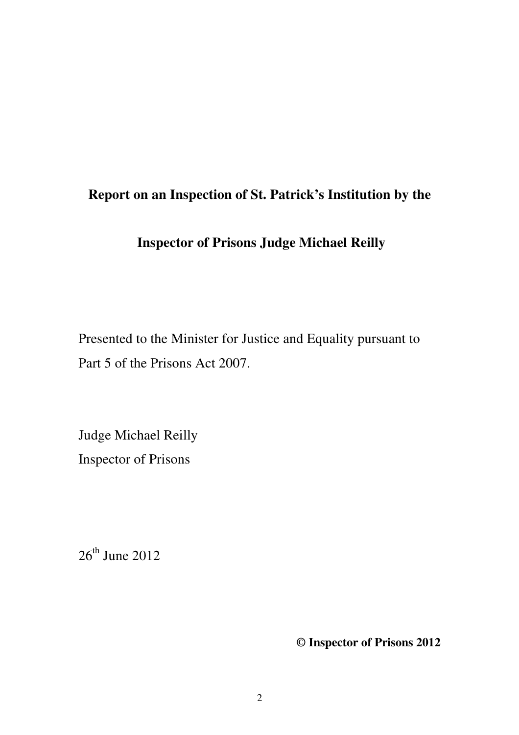## **Report on an Inspection of St. Patrick's Institution by the**

## **Inspector of Prisons Judge Michael Reilly**

Presented to the Minister for Justice and Equality pursuant to Part 5 of the Prisons Act 2007.

Judge Michael Reilly Inspector of Prisons

 $26<sup>th</sup>$  June 2012

**© Inspector of Prisons 2012**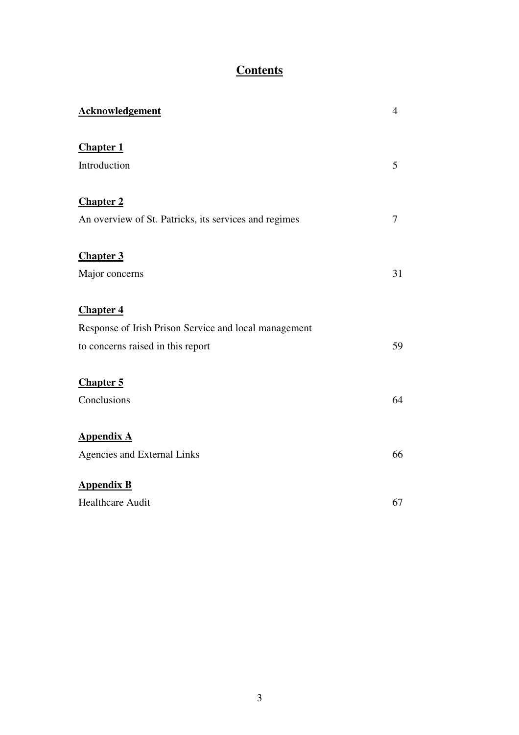## **Contents**

| <b>Acknowledgement</b>                                | $\overline{4}$ |
|-------------------------------------------------------|----------------|
| <b>Chapter 1</b><br>Introduction                      | 5              |
|                                                       |                |
| <b>Chapter 2</b>                                      |                |
| An overview of St. Patricks, its services and regimes | 7              |
| <b>Chapter 3</b>                                      |                |
| Major concerns                                        | 31             |
| <b>Chapter 4</b>                                      |                |
| Response of Irish Prison Service and local management |                |
| to concerns raised in this report                     | 59             |
| <b>Chapter 5</b>                                      |                |
| Conclusions                                           | 64             |
| <b>Appendix A</b>                                     |                |
| <b>Agencies and External Links</b>                    | 66             |
| <b>Appendix B</b>                                     |                |
| <b>Healthcare Audit</b>                               | 67             |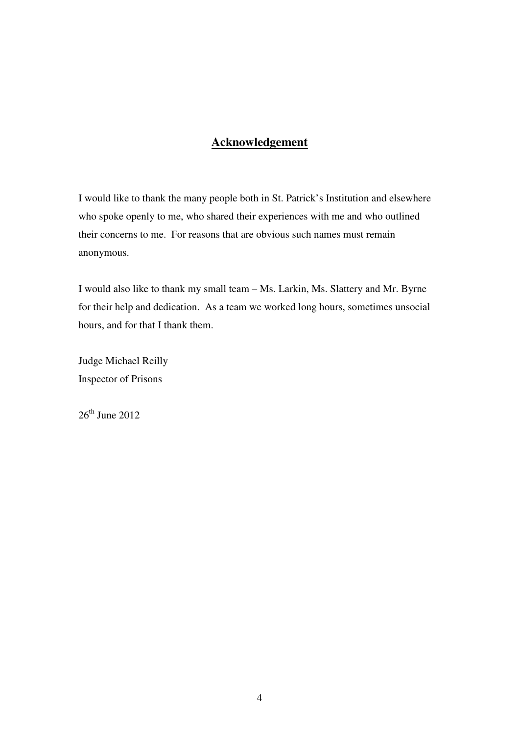## **Acknowledgement**

I would like to thank the many people both in St. Patrick's Institution and elsewhere who spoke openly to me, who shared their experiences with me and who outlined their concerns to me. For reasons that are obvious such names must remain anonymous.

I would also like to thank my small team – Ms. Larkin, Ms. Slattery and Mr. Byrne for their help and dedication. As a team we worked long hours, sometimes unsocial hours, and for that I thank them.

Judge Michael Reilly Inspector of Prisons

 $26<sup>th</sup>$  June 2012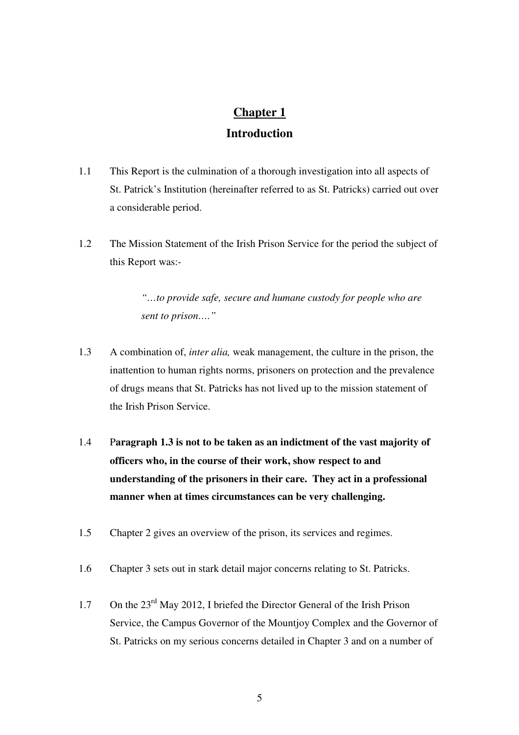## **Chapter 1 Introduction**

- 1.1 This Report is the culmination of a thorough investigation into all aspects of St. Patrick's Institution (hereinafter referred to as St. Patricks) carried out over a considerable period.
- 1.2 The Mission Statement of the Irish Prison Service for the period the subject of this Report was:-

*"…to provide safe, secure and humane custody for people who are sent to prison…."*

- 1.3 A combination of, *inter alia,* weak management, the culture in the prison, the inattention to human rights norms, prisoners on protection and the prevalence of drugs means that St. Patricks has not lived up to the mission statement of the Irish Prison Service.
- 1.4 P**aragraph 1.3 is not to be taken as an indictment of the vast majority of officers who, in the course of their work, show respect to and understanding of the prisoners in their care. They act in a professional manner when at times circumstances can be very challenging.**
- 1.5 Chapter 2 gives an overview of the prison, its services and regimes.
- 1.6 Chapter 3 sets out in stark detail major concerns relating to St. Patricks.
- 1.7 On the 23<sup>rd</sup> May 2012, I briefed the Director General of the Irish Prison Service, the Campus Governor of the Mountjoy Complex and the Governor of St. Patricks on my serious concerns detailed in Chapter 3 and on a number of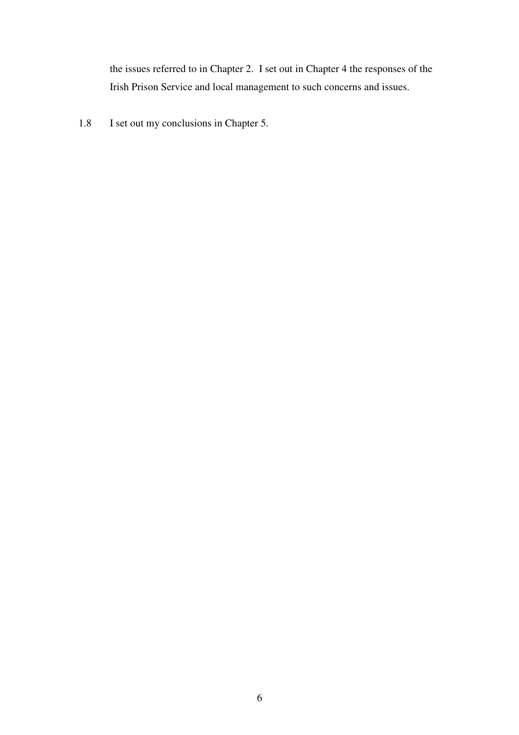the issues referred to in Chapter 2. I set out in Chapter 4 the responses of the Irish Prison Service and local management to such concerns and issues.

1.8 I set out my conclusions in Chapter 5.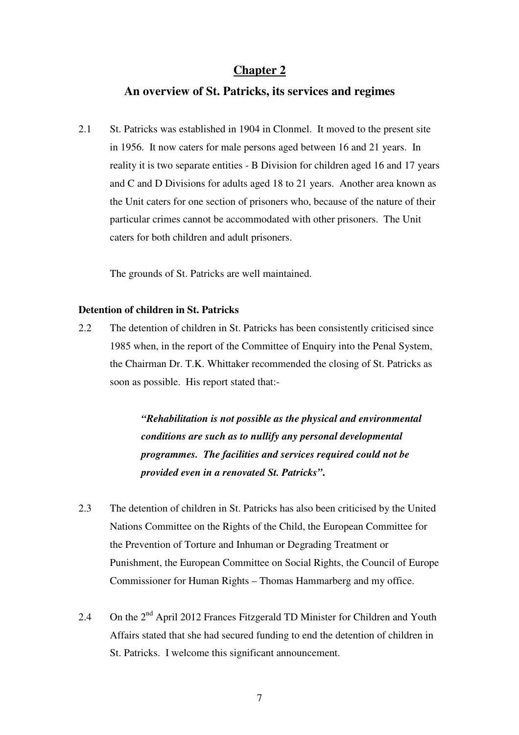#### **Chapter 2**

#### **An overview of St. Patricks, its services and regimes**

2.1 St. Patricks was established in 1904 in Clonmel. It moved to the present site in 1956. It now caters for male persons aged between 16 and 21 years. In reality it is two separate entities - B Division for children aged 16 and 17 years and C and D Divisions for adults aged 18 to 21 years. Another area known as the Unit caters for one section of prisoners who, because of the nature of their particular crimes cannot be accommodated with other prisoners. The Unit caters for both children and adult prisoners.

The grounds of St. Patricks are well maintained.

#### **Detention of children in St. Patricks**

2.2 The detention of children in St. Patricks has been consistently criticised since 1985 when, in the report of the Committee of Enquiry into the Penal System, the Chairman Dr. T.K. Whittaker recommended the closing of St. Patricks as soon as possible. His report stated that:-

> *"Rehabilitation is not possible as the physical and environmental conditions are such as to nullify any personal developmental programmes. The facilities and services required could not be provided even in a renovated St. Patricks"***.**

- 2.3 The detention of children in St. Patricks has also been criticised by the United Nations Committee on the Rights of the Child, the European Committee for the Prevention of Torture and Inhuman or Degrading Treatment or Punishment, the European Committee on Social Rights, the Council of Europe Commissioner for Human Rights – Thomas Hammarberg and my office.
- 2.4 On the 2<sup>nd</sup> April 2012 Frances Fitzgerald TD Minister for Children and Youth Affairs stated that she had secured funding to end the detention of children in St. Patricks. I welcome this significant announcement.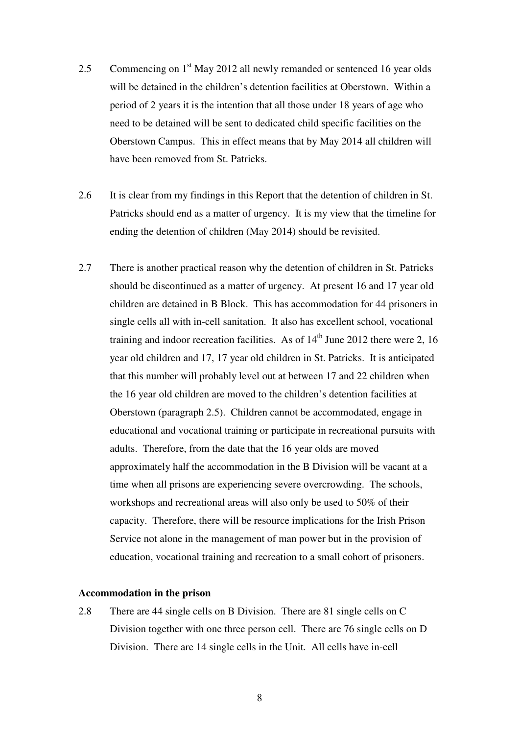- 2.5 Commencing on  $1<sup>st</sup>$  May 2012 all newly remanded or sentenced 16 year olds will be detained in the children's detention facilities at Oberstown. Within a period of 2 years it is the intention that all those under 18 years of age who need to be detained will be sent to dedicated child specific facilities on the Oberstown Campus. This in effect means that by May 2014 all children will have been removed from St. Patricks.
- 2.6 It is clear from my findings in this Report that the detention of children in St. Patricks should end as a matter of urgency. It is my view that the timeline for ending the detention of children (May 2014) should be revisited.
- 2.7 There is another practical reason why the detention of children in St. Patricks should be discontinued as a matter of urgency. At present 16 and 17 year old children are detained in B Block. This has accommodation for 44 prisoners in single cells all with in-cell sanitation. It also has excellent school, vocational training and indoor recreation facilities. As of  $14<sup>th</sup>$  June 2012 there were 2, 16 year old children and 17, 17 year old children in St. Patricks. It is anticipated that this number will probably level out at between 17 and 22 children when the 16 year old children are moved to the children's detention facilities at Oberstown (paragraph 2.5). Children cannot be accommodated, engage in educational and vocational training or participate in recreational pursuits with adults. Therefore, from the date that the 16 year olds are moved approximately half the accommodation in the B Division will be vacant at a time when all prisons are experiencing severe overcrowding. The schools, workshops and recreational areas will also only be used to 50% of their capacity. Therefore, there will be resource implications for the Irish Prison Service not alone in the management of man power but in the provision of education, vocational training and recreation to a small cohort of prisoners.

#### **Accommodation in the prison**

2.8 There are 44 single cells on B Division. There are 81 single cells on C Division together with one three person cell. There are 76 single cells on D Division. There are 14 single cells in the Unit. All cells have in-cell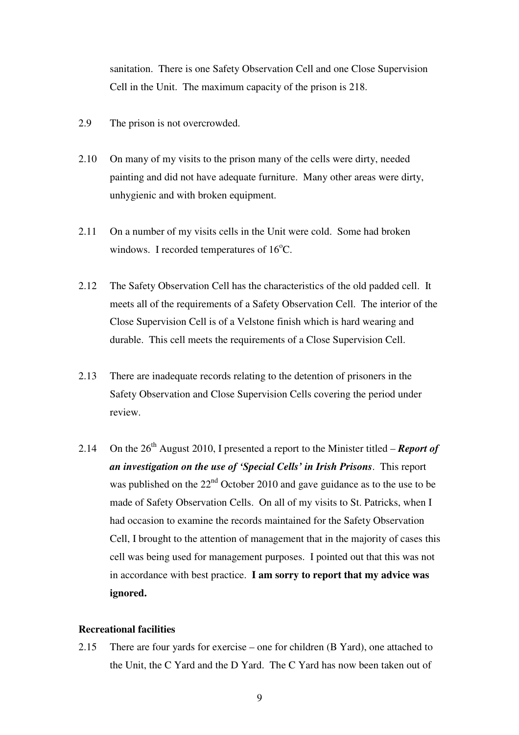sanitation. There is one Safety Observation Cell and one Close Supervision Cell in the Unit. The maximum capacity of the prison is 218.

- 2.9 The prison is not overcrowded.
- 2.10 On many of my visits to the prison many of the cells were dirty, needed painting and did not have adequate furniture. Many other areas were dirty, unhygienic and with broken equipment.
- 2.11 On a number of my visits cells in the Unit were cold. Some had broken windows. I recorded temperatures of  $16^{\circ}$ C.
- 2.12 The Safety Observation Cell has the characteristics of the old padded cell. It meets all of the requirements of a Safety Observation Cell. The interior of the Close Supervision Cell is of a Velstone finish which is hard wearing and durable. This cell meets the requirements of a Close Supervision Cell.
- 2.13 There are inadequate records relating to the detention of prisoners in the Safety Observation and Close Supervision Cells covering the period under review.
- 2.14 On the  $26<sup>th</sup>$  August 2010, I presented a report to the Minister titled *Report of an investigation on the use of 'Special Cells' in Irish Prisons*. This report was published on the  $22<sup>nd</sup>$  October 2010 and gave guidance as to the use to be made of Safety Observation Cells. On all of my visits to St. Patricks, when I had occasion to examine the records maintained for the Safety Observation Cell, I brought to the attention of management that in the majority of cases this cell was being used for management purposes. I pointed out that this was not in accordance with best practice. **I am sorry to report that my advice was ignored.**

#### **Recreational facilities**

2.15 There are four yards for exercise – one for children (B Yard), one attached to the Unit, the C Yard and the D Yard. The C Yard has now been taken out of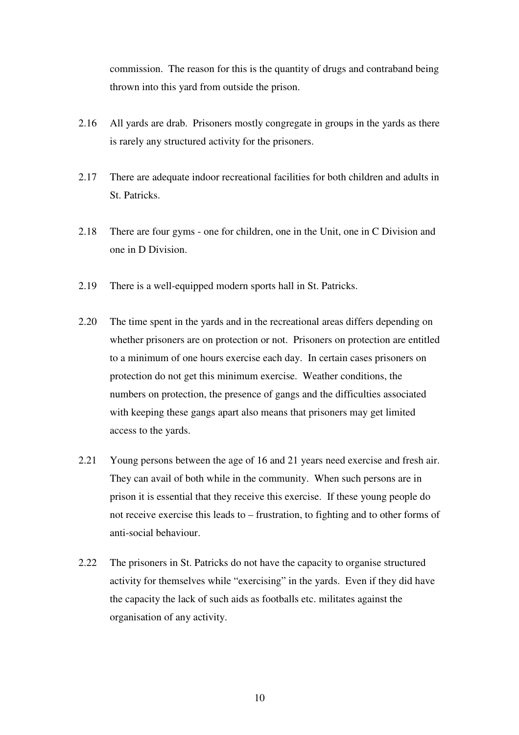commission. The reason for this is the quantity of drugs and contraband being thrown into this yard from outside the prison.

- 2.16 All yards are drab. Prisoners mostly congregate in groups in the yards as there is rarely any structured activity for the prisoners.
- 2.17 There are adequate indoor recreational facilities for both children and adults in St. Patricks.
- 2.18 There are four gyms one for children, one in the Unit, one in C Division and one in D Division.
- 2.19 There is a well-equipped modern sports hall in St. Patricks.
- 2.20 The time spent in the yards and in the recreational areas differs depending on whether prisoners are on protection or not. Prisoners on protection are entitled to a minimum of one hours exercise each day. In certain cases prisoners on protection do not get this minimum exercise. Weather conditions, the numbers on protection, the presence of gangs and the difficulties associated with keeping these gangs apart also means that prisoners may get limited access to the yards.
- 2.21 Young persons between the age of 16 and 21 years need exercise and fresh air. They can avail of both while in the community. When such persons are in prison it is essential that they receive this exercise. If these young people do not receive exercise this leads to – frustration, to fighting and to other forms of anti-social behaviour.
- 2.22 The prisoners in St. Patricks do not have the capacity to organise structured activity for themselves while "exercising" in the yards. Even if they did have the capacity the lack of such aids as footballs etc. militates against the organisation of any activity.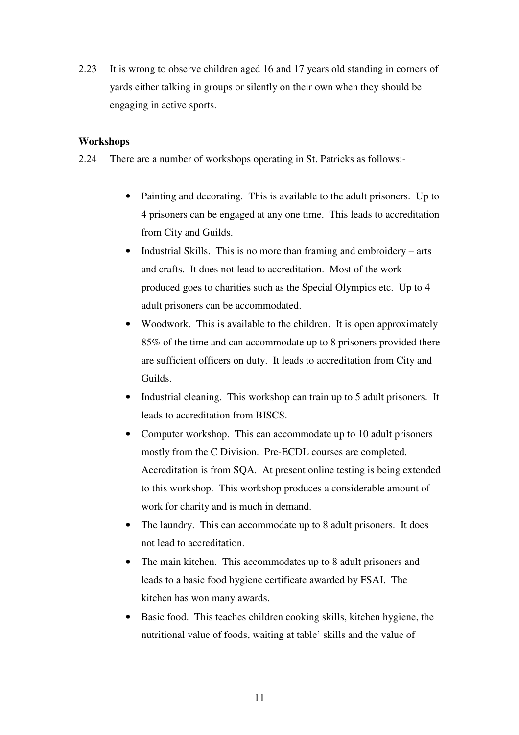2.23 It is wrong to observe children aged 16 and 17 years old standing in corners of yards either talking in groups or silently on their own when they should be engaging in active sports.

#### **Workshops**

- 2.24 There are a number of workshops operating in St. Patricks as follows:-
	- Painting and decorating. This is available to the adult prisoners. Up to 4 prisoners can be engaged at any one time. This leads to accreditation from City and Guilds.
	- Industrial Skills. This is no more than framing and embroidery arts and crafts. It does not lead to accreditation. Most of the work produced goes to charities such as the Special Olympics etc. Up to 4 adult prisoners can be accommodated.
	- Woodwork. This is available to the children. It is open approximately 85% of the time and can accommodate up to 8 prisoners provided there are sufficient officers on duty. It leads to accreditation from City and Guilds.
	- Industrial cleaning. This workshop can train up to 5 adult prisoners. It leads to accreditation from BISCS.
	- Computer workshop. This can accommodate up to 10 adult prisoners mostly from the C Division. Pre-ECDL courses are completed. Accreditation is from SQA. At present online testing is being extended to this workshop. This workshop produces a considerable amount of work for charity and is much in demand.
	- The laundry. This can accommodate up to 8 adult prisoners. It does not lead to accreditation.
	- The main kitchen. This accommodates up to 8 adult prisoners and leads to a basic food hygiene certificate awarded by FSAI. The kitchen has won many awards.
	- Basic food. This teaches children cooking skills, kitchen hygiene, the nutritional value of foods, waiting at table' skills and the value of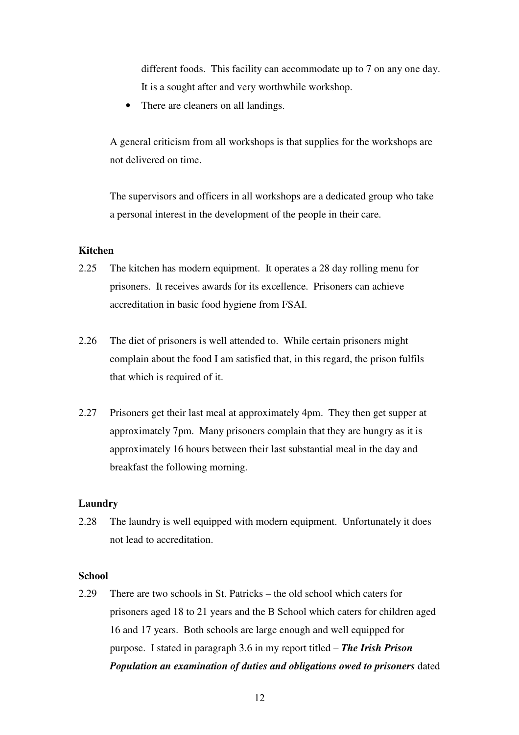different foods. This facility can accommodate up to 7 on any one day. It is a sought after and very worthwhile workshop.

• There are cleaners on all landings.

A general criticism from all workshops is that supplies for the workshops are not delivered on time.

The supervisors and officers in all workshops are a dedicated group who take a personal interest in the development of the people in their care.

#### **Kitchen**

- 2.25 The kitchen has modern equipment. It operates a 28 day rolling menu for prisoners. It receives awards for its excellence. Prisoners can achieve accreditation in basic food hygiene from FSAI.
- 2.26 The diet of prisoners is well attended to. While certain prisoners might complain about the food I am satisfied that, in this regard, the prison fulfils that which is required of it.
- 2.27 Prisoners get their last meal at approximately 4pm. They then get supper at approximately 7pm. Many prisoners complain that they are hungry as it is approximately 16 hours between their last substantial meal in the day and breakfast the following morning.

#### **Laundry**

2.28 The laundry is well equipped with modern equipment. Unfortunately it does not lead to accreditation.

#### **School**

2.29 There are two schools in St. Patricks – the old school which caters for prisoners aged 18 to 21 years and the B School which caters for children aged 16 and 17 years. Both schools are large enough and well equipped for purpose. I stated in paragraph 3.6 in my report titled – *The Irish Prison Population an examination of duties and obligations owed to prisoners* dated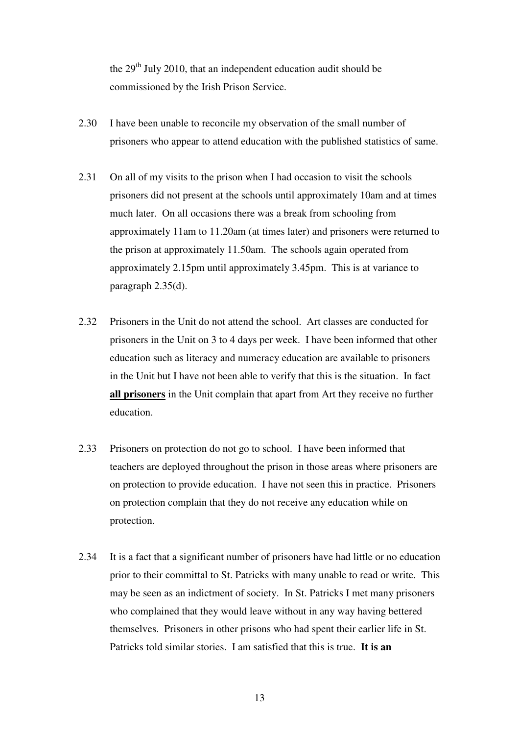the 29<sup>th</sup> July 2010, that an independent education audit should be commissioned by the Irish Prison Service.

- 2.30 I have been unable to reconcile my observation of the small number of prisoners who appear to attend education with the published statistics of same.
- 2.31 On all of my visits to the prison when I had occasion to visit the schools prisoners did not present at the schools until approximately 10am and at times much later. On all occasions there was a break from schooling from approximately 11am to 11.20am (at times later) and prisoners were returned to the prison at approximately 11.50am. The schools again operated from approximately 2.15pm until approximately 3.45pm. This is at variance to paragraph 2.35(d).
- 2.32 Prisoners in the Unit do not attend the school. Art classes are conducted for prisoners in the Unit on 3 to 4 days per week. I have been informed that other education such as literacy and numeracy education are available to prisoners in the Unit but I have not been able to verify that this is the situation. In fact **all prisoners** in the Unit complain that apart from Art they receive no further education.
- 2.33 Prisoners on protection do not go to school. I have been informed that teachers are deployed throughout the prison in those areas where prisoners are on protection to provide education. I have not seen this in practice. Prisoners on protection complain that they do not receive any education while on protection.
- 2.34 It is a fact that a significant number of prisoners have had little or no education prior to their committal to St. Patricks with many unable to read or write. This may be seen as an indictment of society. In St. Patricks I met many prisoners who complained that they would leave without in any way having bettered themselves. Prisoners in other prisons who had spent their earlier life in St. Patricks told similar stories. I am satisfied that this is true. **It is an**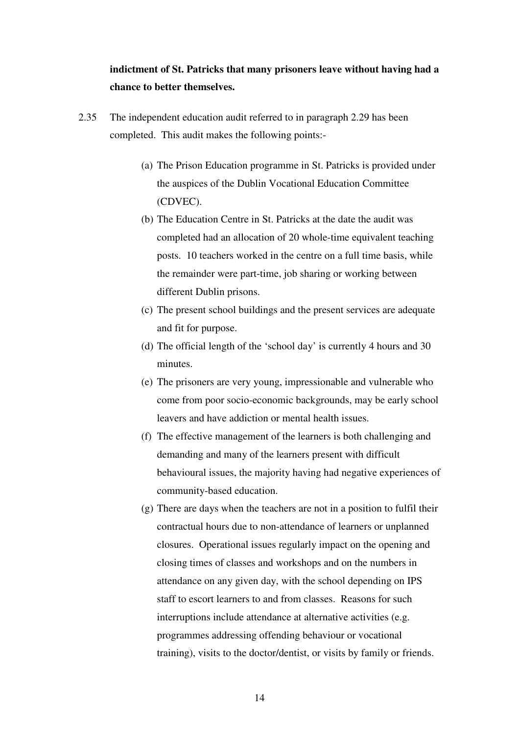### **indictment of St. Patricks that many prisoners leave without having had a chance to better themselves.**

- 2.35 The independent education audit referred to in paragraph 2.29 has been completed. This audit makes the following points:-
	- (a) The Prison Education programme in St. Patricks is provided under the auspices of the Dublin Vocational Education Committee (CDVEC).
	- (b) The Education Centre in St. Patricks at the date the audit was completed had an allocation of 20 whole-time equivalent teaching posts. 10 teachers worked in the centre on a full time basis, while the remainder were part-time, job sharing or working between different Dublin prisons.
	- (c) The present school buildings and the present services are adequate and fit for purpose.
	- (d) The official length of the 'school day' is currently 4 hours and 30 minutes.
	- (e) The prisoners are very young, impressionable and vulnerable who come from poor socio-economic backgrounds, may be early school leavers and have addiction or mental health issues.
	- (f) The effective management of the learners is both challenging and demanding and many of the learners present with difficult behavioural issues, the majority having had negative experiences of community-based education.
	- (g) There are days when the teachers are not in a position to fulfil their contractual hours due to non-attendance of learners or unplanned closures. Operational issues regularly impact on the opening and closing times of classes and workshops and on the numbers in attendance on any given day, with the school depending on IPS staff to escort learners to and from classes. Reasons for such interruptions include attendance at alternative activities (e.g. programmes addressing offending behaviour or vocational training), visits to the doctor/dentist, or visits by family or friends.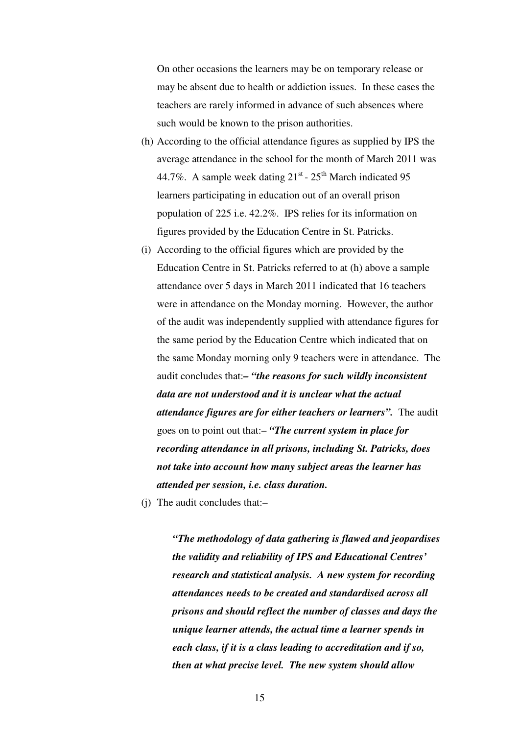On other occasions the learners may be on temporary release or may be absent due to health or addiction issues. In these cases the teachers are rarely informed in advance of such absences where such would be known to the prison authorities.

- (h) According to the official attendance figures as supplied by IPS the average attendance in the school for the month of March 2011 was 44.7%. A sample week dating  $21<sup>st</sup>$  -  $25<sup>th</sup>$  March indicated 95 learners participating in education out of an overall prison population of 225 i.e. 42.2%. IPS relies for its information on figures provided by the Education Centre in St. Patricks.
- (i) According to the official figures which are provided by the Education Centre in St. Patricks referred to at (h) above a sample attendance over 5 days in March 2011 indicated that 16 teachers were in attendance on the Monday morning. However, the author of the audit was independently supplied with attendance figures for the same period by the Education Centre which indicated that on the same Monday morning only 9 teachers were in attendance. The audit concludes that:*– "the reasons for such wildly inconsistent data are not understood and it is unclear what the actual attendance figures are for either teachers or learners".* The audit goes on to point out that:– *"The current system in place for recording attendance in all prisons, including St. Patricks, does not take into account how many subject areas the learner has attended per session, i.e. class duration.*
- (j) The audit concludes that:–

*"The methodology of data gathering is flawed and jeopardises the validity and reliability of IPS and Educational Centres' research and statistical analysis. A new system for recording attendances needs to be created and standardised across all prisons and should reflect the number of classes and days the unique learner attends, the actual time a learner spends in each class, if it is a class leading to accreditation and if so, then at what precise level. The new system should allow*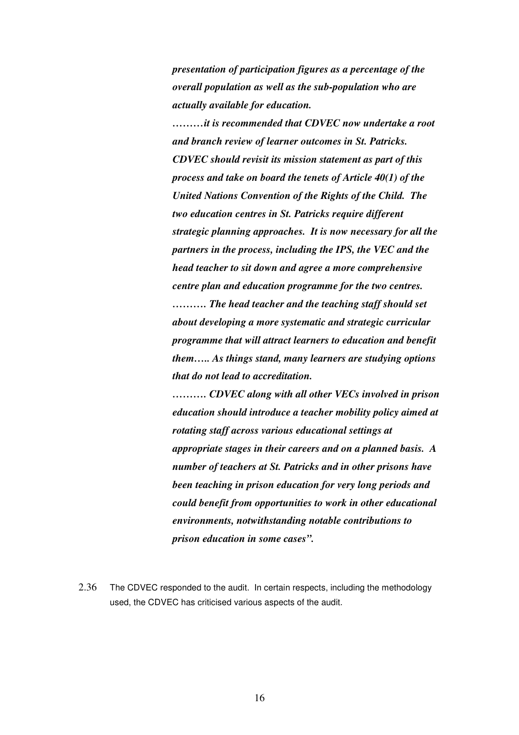*presentation of participation figures as a percentage of the overall population as well as the sub-population who are actually available for education.* 

*………it is recommended that CDVEC now undertake a root and branch review of learner outcomes in St. Patricks. CDVEC should revisit its mission statement as part of this process and take on board the tenets of Article 40(1) of the United Nations Convention of the Rights of the Child. The two education centres in St. Patricks require different strategic planning approaches. It is now necessary for all the partners in the process, including the IPS, the VEC and the head teacher to sit down and agree a more comprehensive centre plan and education programme for the two centres.* 

*………. The head teacher and the teaching staff should set about developing a more systematic and strategic curricular programme that will attract learners to education and benefit them….. As things stand, many learners are studying options that do not lead to accreditation.* 

*………. CDVEC along with all other VECs involved in prison education should introduce a teacher mobility policy aimed at rotating staff across various educational settings at appropriate stages in their careers and on a planned basis. A number of teachers at St. Patricks and in other prisons have been teaching in prison education for very long periods and could benefit from opportunities to work in other educational environments, notwithstanding notable contributions to prison education in some cases".* 

2.36 The CDVEC responded to the audit. In certain respects, including the methodology used, the CDVEC has criticised various aspects of the audit.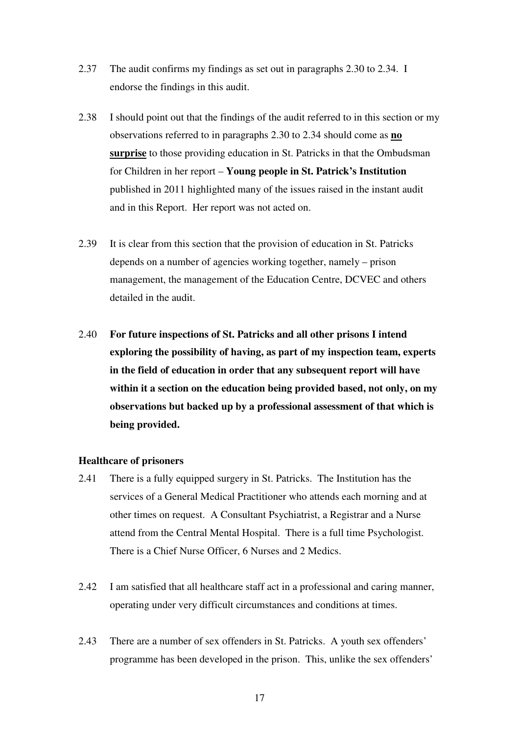- 2.37 The audit confirms my findings as set out in paragraphs 2.30 to 2.34. I endorse the findings in this audit.
- 2.38 I should point out that the findings of the audit referred to in this section or my observations referred to in paragraphs 2.30 to 2.34 should come as **no surprise** to those providing education in St. Patricks in that the Ombudsman for Children in her report – **Young people in St. Patrick's Institution**  published in 2011 highlighted many of the issues raised in the instant audit and in this Report. Her report was not acted on.
- 2.39 It is clear from this section that the provision of education in St. Patricks depends on a number of agencies working together, namely – prison management, the management of the Education Centre, DCVEC and others detailed in the audit.
- 2.40 **For future inspections of St. Patricks and all other prisons I intend exploring the possibility of having, as part of my inspection team, experts in the field of education in order that any subsequent report will have within it a section on the education being provided based, not only, on my observations but backed up by a professional assessment of that which is being provided.**

#### **Healthcare of prisoners**

- 2.41 There is a fully equipped surgery in St. Patricks. The Institution has the services of a General Medical Practitioner who attends each morning and at other times on request. A Consultant Psychiatrist, a Registrar and a Nurse attend from the Central Mental Hospital. There is a full time Psychologist. There is a Chief Nurse Officer, 6 Nurses and 2 Medics.
- 2.42 I am satisfied that all healthcare staff act in a professional and caring manner, operating under very difficult circumstances and conditions at times.
- 2.43 There are a number of sex offenders in St. Patricks. A youth sex offenders' programme has been developed in the prison. This, unlike the sex offenders'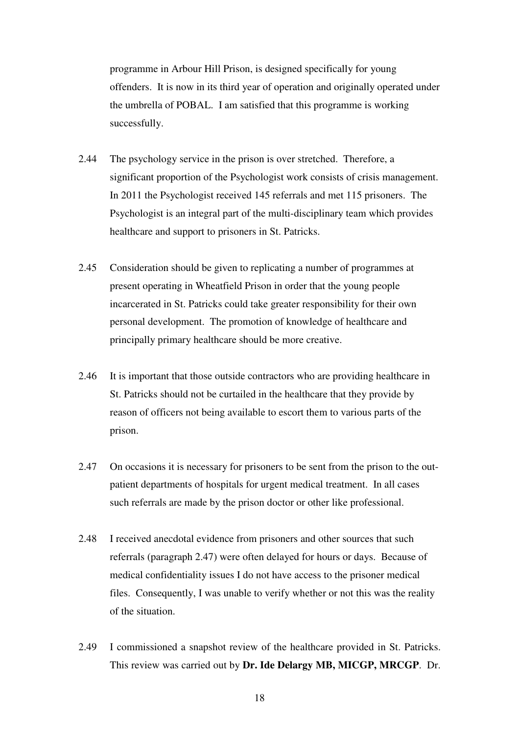programme in Arbour Hill Prison, is designed specifically for young offenders. It is now in its third year of operation and originally operated under the umbrella of POBAL. I am satisfied that this programme is working successfully.

- 2.44 The psychology service in the prison is over stretched. Therefore, a significant proportion of the Psychologist work consists of crisis management. In 2011 the Psychologist received 145 referrals and met 115 prisoners. The Psychologist is an integral part of the multi-disciplinary team which provides healthcare and support to prisoners in St. Patricks.
- 2.45 Consideration should be given to replicating a number of programmes at present operating in Wheatfield Prison in order that the young people incarcerated in St. Patricks could take greater responsibility for their own personal development. The promotion of knowledge of healthcare and principally primary healthcare should be more creative.
- 2.46 It is important that those outside contractors who are providing healthcare in St. Patricks should not be curtailed in the healthcare that they provide by reason of officers not being available to escort them to various parts of the prison.
- 2.47 On occasions it is necessary for prisoners to be sent from the prison to the outpatient departments of hospitals for urgent medical treatment. In all cases such referrals are made by the prison doctor or other like professional.
- 2.48 I received anecdotal evidence from prisoners and other sources that such referrals (paragraph 2.47) were often delayed for hours or days. Because of medical confidentiality issues I do not have access to the prisoner medical files. Consequently, I was unable to verify whether or not this was the reality of the situation.
- 2.49 I commissioned a snapshot review of the healthcare provided in St. Patricks. This review was carried out by **Dr. Ide Delargy MB, MICGP, MRCGP**. Dr.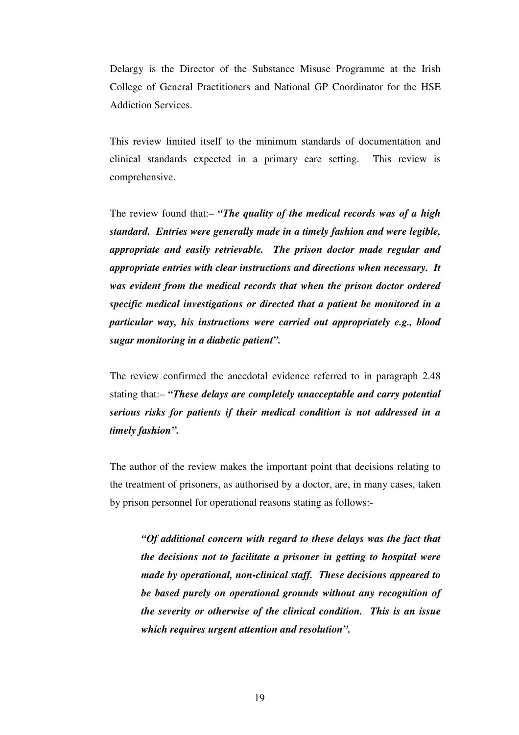Delargy is the Director of the Substance Misuse Programme at the Irish College of General Practitioners and National GP Coordinator for the HSE Addiction Services.

This review limited itself to the minimum standards of documentation and clinical standards expected in a primary care setting. This review is comprehensive.

The review found that:– *"The quality of the medical records was of a high standard. Entries were generally made in a timely fashion and were legible, appropriate and easily retrievable. The prison doctor made regular and appropriate entries with clear instructions and directions when necessary. It was evident from the medical records that when the prison doctor ordered specific medical investigations or directed that a patient be monitored in a particular way, his instructions were carried out appropriately e.g., blood sugar monitoring in a diabetic patient".* 

The review confirmed the anecdotal evidence referred to in paragraph 2.48 stating that:– *"These delays are completely unacceptable and carry potential serious risks for patients if their medical condition is not addressed in a timely fashion".* 

The author of the review makes the important point that decisions relating to the treatment of prisoners, as authorised by a doctor, are, in many cases, taken by prison personnel for operational reasons stating as follows:-

*"Of additional concern with regard to these delays was the fact that the decisions not to facilitate a prisoner in getting to hospital were made by operational, non-clinical staff. These decisions appeared to be based purely on operational grounds without any recognition of the severity or otherwise of the clinical condition. This is an issue which requires urgent attention and resolution".*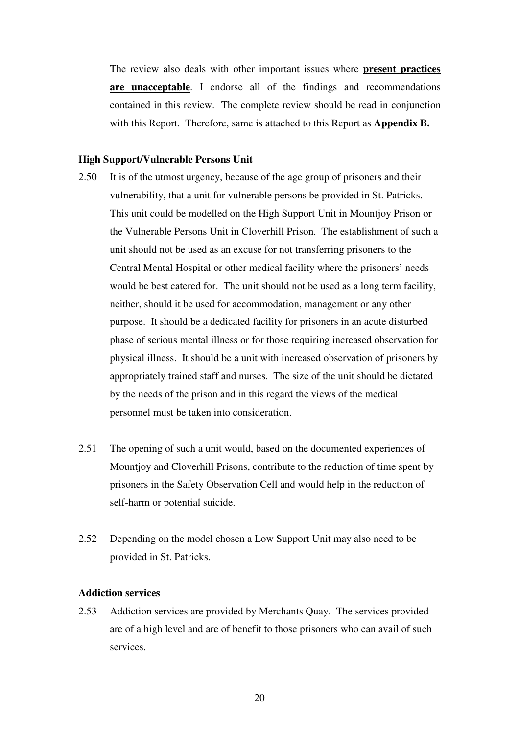The review also deals with other important issues where **present practices are unacceptable**. I endorse all of the findings and recommendations contained in this review. The complete review should be read in conjunction with this Report. Therefore, same is attached to this Report as **Appendix B.** 

#### **High Support/Vulnerable Persons Unit**

- 2.50 It is of the utmost urgency, because of the age group of prisoners and their vulnerability, that a unit for vulnerable persons be provided in St. Patricks. This unit could be modelled on the High Support Unit in Mountjoy Prison or the Vulnerable Persons Unit in Cloverhill Prison. The establishment of such a unit should not be used as an excuse for not transferring prisoners to the Central Mental Hospital or other medical facility where the prisoners' needs would be best catered for. The unit should not be used as a long term facility, neither, should it be used for accommodation, management or any other purpose. It should be a dedicated facility for prisoners in an acute disturbed phase of serious mental illness or for those requiring increased observation for physical illness. It should be a unit with increased observation of prisoners by appropriately trained staff and nurses. The size of the unit should be dictated by the needs of the prison and in this regard the views of the medical personnel must be taken into consideration.
- 2.51 The opening of such a unit would, based on the documented experiences of Mountjoy and Cloverhill Prisons, contribute to the reduction of time spent by prisoners in the Safety Observation Cell and would help in the reduction of self-harm or potential suicide.
- 2.52 Depending on the model chosen a Low Support Unit may also need to be provided in St. Patricks.

#### **Addiction services**

2.53 Addiction services are provided by Merchants Quay. The services provided are of a high level and are of benefit to those prisoners who can avail of such services.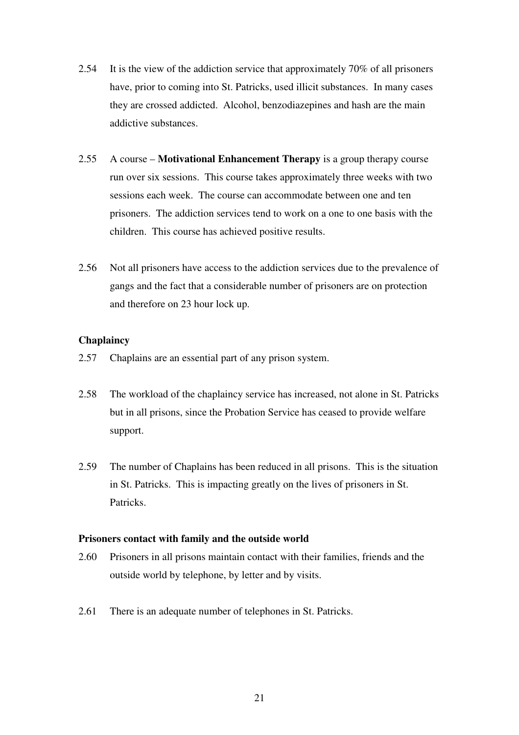- 2.54 It is the view of the addiction service that approximately 70% of all prisoners have, prior to coming into St. Patricks, used illicit substances. In many cases they are crossed addicted. Alcohol, benzodiazepines and hash are the main addictive substances.
- 2.55 A course **Motivational Enhancement Therapy** is a group therapy course run over six sessions. This course takes approximately three weeks with two sessions each week. The course can accommodate between one and ten prisoners. The addiction services tend to work on a one to one basis with the children. This course has achieved positive results.
- 2.56 Not all prisoners have access to the addiction services due to the prevalence of gangs and the fact that a considerable number of prisoners are on protection and therefore on 23 hour lock up.

#### **Chaplaincy**

- 2.57 Chaplains are an essential part of any prison system.
- 2.58 The workload of the chaplaincy service has increased, not alone in St. Patricks but in all prisons, since the Probation Service has ceased to provide welfare support.
- 2.59 The number of Chaplains has been reduced in all prisons. This is the situation in St. Patricks. This is impacting greatly on the lives of prisoners in St. Patricks.

#### **Prisoners contact with family and the outside world**

- 2.60 Prisoners in all prisons maintain contact with their families, friends and the outside world by telephone, by letter and by visits.
- 2.61 There is an adequate number of telephones in St. Patricks.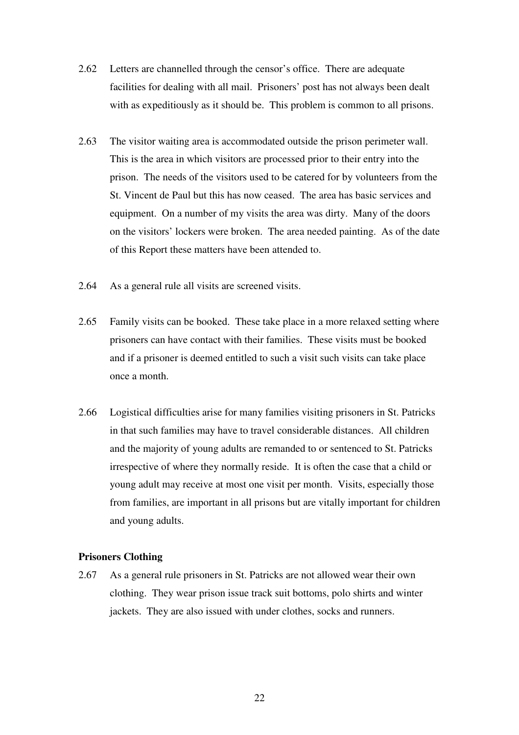- 2.62 Letters are channelled through the censor's office. There are adequate facilities for dealing with all mail. Prisoners' post has not always been dealt with as expeditiously as it should be. This problem is common to all prisons.
- 2.63 The visitor waiting area is accommodated outside the prison perimeter wall. This is the area in which visitors are processed prior to their entry into the prison. The needs of the visitors used to be catered for by volunteers from the St. Vincent de Paul but this has now ceased. The area has basic services and equipment. On a number of my visits the area was dirty. Many of the doors on the visitors' lockers were broken. The area needed painting. As of the date of this Report these matters have been attended to.
- 2.64 As a general rule all visits are screened visits.
- 2.65 Family visits can be booked. These take place in a more relaxed setting where prisoners can have contact with their families. These visits must be booked and if a prisoner is deemed entitled to such a visit such visits can take place once a month.
- 2.66 Logistical difficulties arise for many families visiting prisoners in St. Patricks in that such families may have to travel considerable distances. All children and the majority of young adults are remanded to or sentenced to St. Patricks irrespective of where they normally reside. It is often the case that a child or young adult may receive at most one visit per month. Visits, especially those from families, are important in all prisons but are vitally important for children and young adults.

#### **Prisoners Clothing**

2.67 As a general rule prisoners in St. Patricks are not allowed wear their own clothing. They wear prison issue track suit bottoms, polo shirts and winter jackets. They are also issued with under clothes, socks and runners.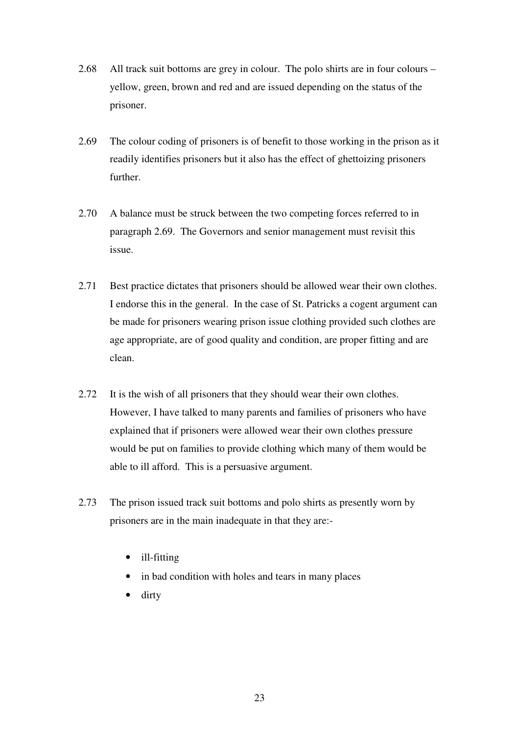- 2.68 All track suit bottoms are grey in colour. The polo shirts are in four colours yellow, green, brown and red and are issued depending on the status of the prisoner.
- 2.69 The colour coding of prisoners is of benefit to those working in the prison as it readily identifies prisoners but it also has the effect of ghettoizing prisoners further.
- 2.70 A balance must be struck between the two competing forces referred to in paragraph 2.69. The Governors and senior management must revisit this issue.
- 2.71 Best practice dictates that prisoners should be allowed wear their own clothes. I endorse this in the general. In the case of St. Patricks a cogent argument can be made for prisoners wearing prison issue clothing provided such clothes are age appropriate, are of good quality and condition, are proper fitting and are clean.
- 2.72 It is the wish of all prisoners that they should wear their own clothes. However, I have talked to many parents and families of prisoners who have explained that if prisoners were allowed wear their own clothes pressure would be put on families to provide clothing which many of them would be able to ill afford. This is a persuasive argument.
- 2.73 The prison issued track suit bottoms and polo shirts as presently worn by prisoners are in the main inadequate in that they are:-
	- ill-fitting
	- in bad condition with holes and tears in many places
	- dirty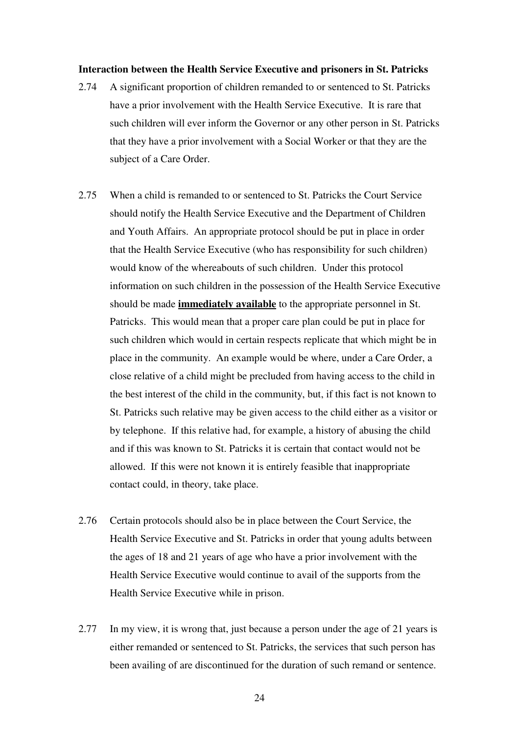#### **Interaction between the Health Service Executive and prisoners in St. Patricks**

- 2.74 A significant proportion of children remanded to or sentenced to St. Patricks have a prior involvement with the Health Service Executive. It is rare that such children will ever inform the Governor or any other person in St. Patricks that they have a prior involvement with a Social Worker or that they are the subject of a Care Order.
- 2.75 When a child is remanded to or sentenced to St. Patricks the Court Service should notify the Health Service Executive and the Department of Children and Youth Affairs. An appropriate protocol should be put in place in order that the Health Service Executive (who has responsibility for such children) would know of the whereabouts of such children. Under this protocol information on such children in the possession of the Health Service Executive should be made **immediately available** to the appropriate personnel in St. Patricks. This would mean that a proper care plan could be put in place for such children which would in certain respects replicate that which might be in place in the community. An example would be where, under a Care Order, a close relative of a child might be precluded from having access to the child in the best interest of the child in the community, but, if this fact is not known to St. Patricks such relative may be given access to the child either as a visitor or by telephone. If this relative had, for example, a history of abusing the child and if this was known to St. Patricks it is certain that contact would not be allowed. If this were not known it is entirely feasible that inappropriate contact could, in theory, take place.
- 2.76 Certain protocols should also be in place between the Court Service, the Health Service Executive and St. Patricks in order that young adults between the ages of 18 and 21 years of age who have a prior involvement with the Health Service Executive would continue to avail of the supports from the Health Service Executive while in prison.
- 2.77 In my view, it is wrong that, just because a person under the age of 21 years is either remanded or sentenced to St. Patricks, the services that such person has been availing of are discontinued for the duration of such remand or sentence.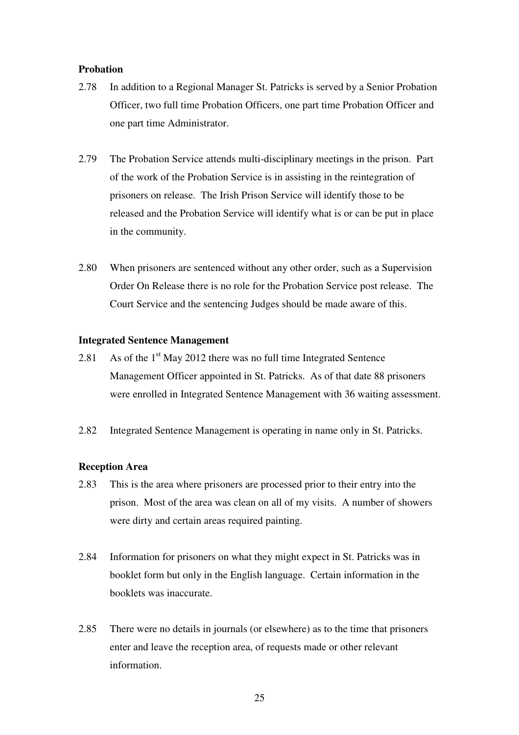#### **Probation**

- 2.78 In addition to a Regional Manager St. Patricks is served by a Senior Probation Officer, two full time Probation Officers, one part time Probation Officer and one part time Administrator.
- 2.79 The Probation Service attends multi-disciplinary meetings in the prison. Part of the work of the Probation Service is in assisting in the reintegration of prisoners on release. The Irish Prison Service will identify those to be released and the Probation Service will identify what is or can be put in place in the community.
- 2.80 When prisoners are sentenced without any other order, such as a Supervision Order On Release there is no role for the Probation Service post release. The Court Service and the sentencing Judges should be made aware of this.

#### **Integrated Sentence Management**

- 2.81 As of the  $1<sup>st</sup>$  May 2012 there was no full time Integrated Sentence Management Officer appointed in St. Patricks. As of that date 88 prisoners were enrolled in Integrated Sentence Management with 36 waiting assessment.
- 2.82 Integrated Sentence Management is operating in name only in St. Patricks.

#### **Reception Area**

- 2.83 This is the area where prisoners are processed prior to their entry into the prison. Most of the area was clean on all of my visits. A number of showers were dirty and certain areas required painting.
- 2.84 Information for prisoners on what they might expect in St. Patricks was in booklet form but only in the English language. Certain information in the booklets was inaccurate.
- 2.85 There were no details in journals (or elsewhere) as to the time that prisoners enter and leave the reception area, of requests made or other relevant information.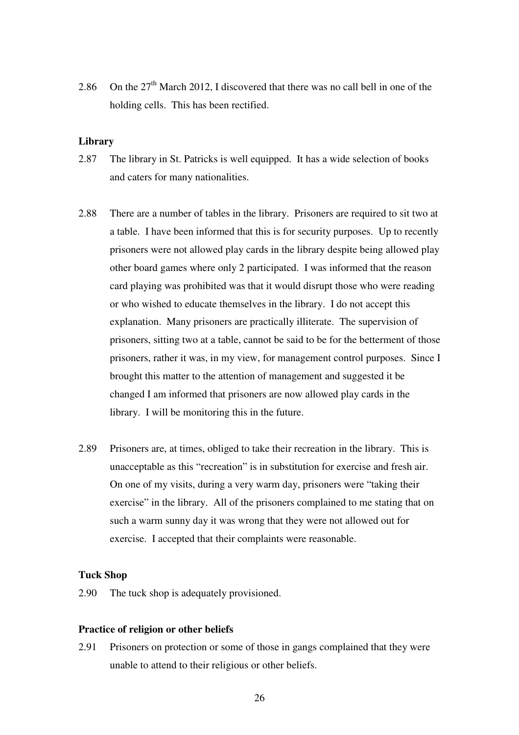2.86 On the  $27<sup>th</sup>$  March 2012, I discovered that there was no call bell in one of the holding cells. This has been rectified.

#### **Library**

- 2.87 The library in St. Patricks is well equipped. It has a wide selection of books and caters for many nationalities.
- 2.88 There are a number of tables in the library. Prisoners are required to sit two at a table. I have been informed that this is for security purposes. Up to recently prisoners were not allowed play cards in the library despite being allowed play other board games where only 2 participated. I was informed that the reason card playing was prohibited was that it would disrupt those who were reading or who wished to educate themselves in the library. I do not accept this explanation. Many prisoners are practically illiterate. The supervision of prisoners, sitting two at a table, cannot be said to be for the betterment of those prisoners, rather it was, in my view, for management control purposes. Since I brought this matter to the attention of management and suggested it be changed I am informed that prisoners are now allowed play cards in the library. I will be monitoring this in the future.
- 2.89 Prisoners are, at times, obliged to take their recreation in the library. This is unacceptable as this "recreation" is in substitution for exercise and fresh air. On one of my visits, during a very warm day, prisoners were "taking their exercise" in the library. All of the prisoners complained to me stating that on such a warm sunny day it was wrong that they were not allowed out for exercise. I accepted that their complaints were reasonable.

#### **Tuck Shop**

2.90 The tuck shop is adequately provisioned.

#### **Practice of religion or other beliefs**

2.91 Prisoners on protection or some of those in gangs complained that they were unable to attend to their religious or other beliefs.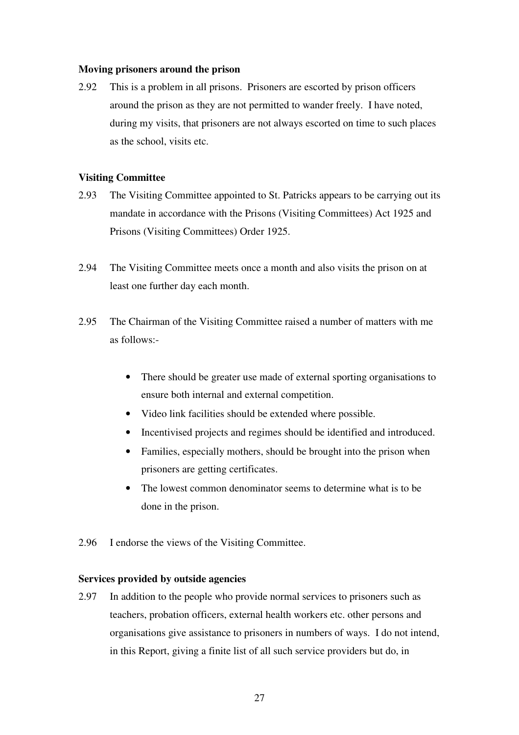#### **Moving prisoners around the prison**

2.92 This is a problem in all prisons. Prisoners are escorted by prison officers around the prison as they are not permitted to wander freely. I have noted, during my visits, that prisoners are not always escorted on time to such places as the school, visits etc.

#### **Visiting Committee**

- 2.93 The Visiting Committee appointed to St. Patricks appears to be carrying out its mandate in accordance with the Prisons (Visiting Committees) Act 1925 and Prisons (Visiting Committees) Order 1925.
- 2.94 The Visiting Committee meets once a month and also visits the prison on at least one further day each month.
- 2.95 The Chairman of the Visiting Committee raised a number of matters with me as follows:-
	- There should be greater use made of external sporting organisations to ensure both internal and external competition.
	- Video link facilities should be extended where possible.
	- Incentivised projects and regimes should be identified and introduced.
	- Families, especially mothers, should be brought into the prison when prisoners are getting certificates.
	- The lowest common denominator seems to determine what is to be done in the prison.
- 2.96 I endorse the views of the Visiting Committee.

#### **Services provided by outside agencies**

2.97 In addition to the people who provide normal services to prisoners such as teachers, probation officers, external health workers etc. other persons and organisations give assistance to prisoners in numbers of ways. I do not intend, in this Report, giving a finite list of all such service providers but do, in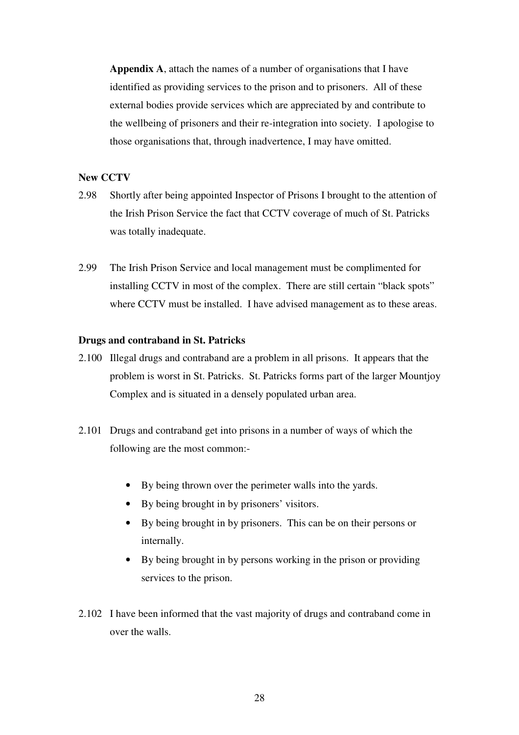**Appendix A**, attach the names of a number of organisations that I have identified as providing services to the prison and to prisoners. All of these external bodies provide services which are appreciated by and contribute to the wellbeing of prisoners and their re-integration into society. I apologise to those organisations that, through inadvertence, I may have omitted.

#### **New CCTV**

- 2.98 Shortly after being appointed Inspector of Prisons I brought to the attention of the Irish Prison Service the fact that CCTV coverage of much of St. Patricks was totally inadequate.
- 2.99 The Irish Prison Service and local management must be complimented for installing CCTV in most of the complex. There are still certain "black spots" where CCTV must be installed. I have advised management as to these areas.

#### **Drugs and contraband in St. Patricks**

- 2.100 Illegal drugs and contraband are a problem in all prisons. It appears that the problem is worst in St. Patricks. St. Patricks forms part of the larger Mountjoy Complex and is situated in a densely populated urban area.
- 2.101 Drugs and contraband get into prisons in a number of ways of which the following are the most common:-
	- By being thrown over the perimeter walls into the yards.
	- By being brought in by prisoners' visitors.
	- By being brought in by prisoners. This can be on their persons or internally.
	- By being brought in by persons working in the prison or providing services to the prison.
- 2.102 I have been informed that the vast majority of drugs and contraband come in over the walls.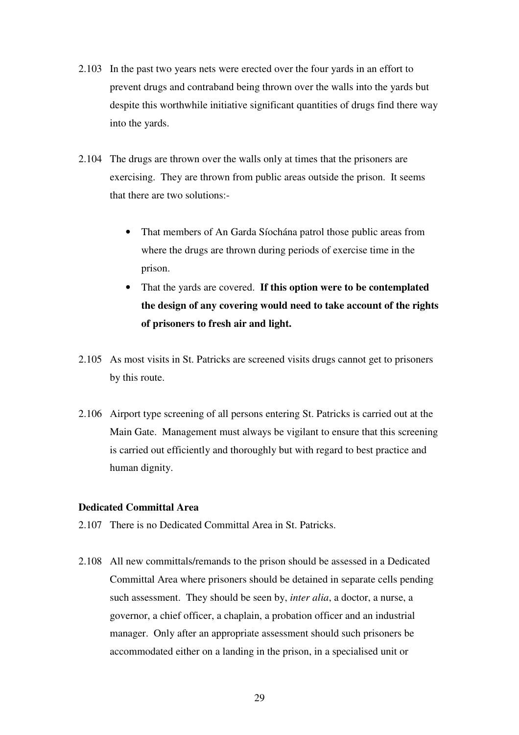- 2.103 In the past two years nets were erected over the four yards in an effort to prevent drugs and contraband being thrown over the walls into the yards but despite this worthwhile initiative significant quantities of drugs find there way into the yards.
- 2.104 The drugs are thrown over the walls only at times that the prisoners are exercising. They are thrown from public areas outside the prison. It seems that there are two solutions:-
	- That members of An Garda Síochána patrol those public areas from where the drugs are thrown during periods of exercise time in the prison.
	- That the yards are covered. **If this option were to be contemplated the design of any covering would need to take account of the rights of prisoners to fresh air and light.**
- 2.105 As most visits in St. Patricks are screened visits drugs cannot get to prisoners by this route.
- 2.106 Airport type screening of all persons entering St. Patricks is carried out at the Main Gate. Management must always be vigilant to ensure that this screening is carried out efficiently and thoroughly but with regard to best practice and human dignity.

#### **Dedicated Committal Area**

- 2.107 There is no Dedicated Committal Area in St. Patricks.
- 2.108 All new committals/remands to the prison should be assessed in a Dedicated Committal Area where prisoners should be detained in separate cells pending such assessment. They should be seen by, *inter alia*, a doctor, a nurse, a governor, a chief officer, a chaplain, a probation officer and an industrial manager. Only after an appropriate assessment should such prisoners be accommodated either on a landing in the prison, in a specialised unit or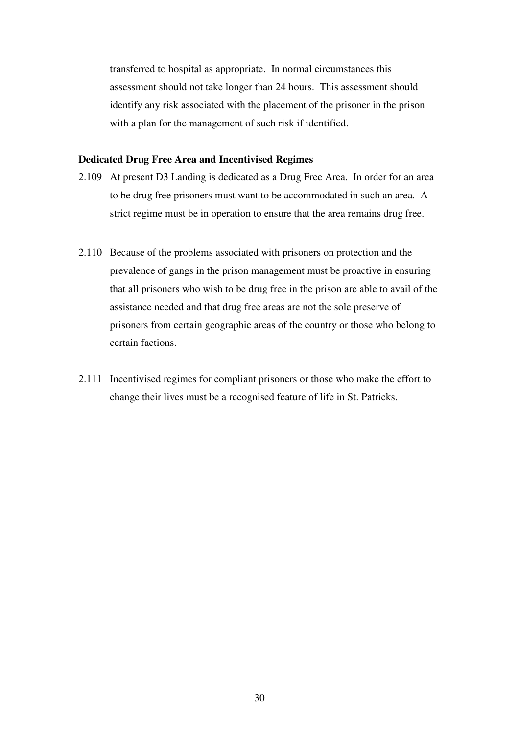transferred to hospital as appropriate. In normal circumstances this assessment should not take longer than 24 hours. This assessment should identify any risk associated with the placement of the prisoner in the prison with a plan for the management of such risk if identified.

#### **Dedicated Drug Free Area and Incentivised Regimes**

- 2.109 At present D3 Landing is dedicated as a Drug Free Area. In order for an area to be drug free prisoners must want to be accommodated in such an area. A strict regime must be in operation to ensure that the area remains drug free.
- 2.110 Because of the problems associated with prisoners on protection and the prevalence of gangs in the prison management must be proactive in ensuring that all prisoners who wish to be drug free in the prison are able to avail of the assistance needed and that drug free areas are not the sole preserve of prisoners from certain geographic areas of the country or those who belong to certain factions.
- 2.111 Incentivised regimes for compliant prisoners or those who make the effort to change their lives must be a recognised feature of life in St. Patricks.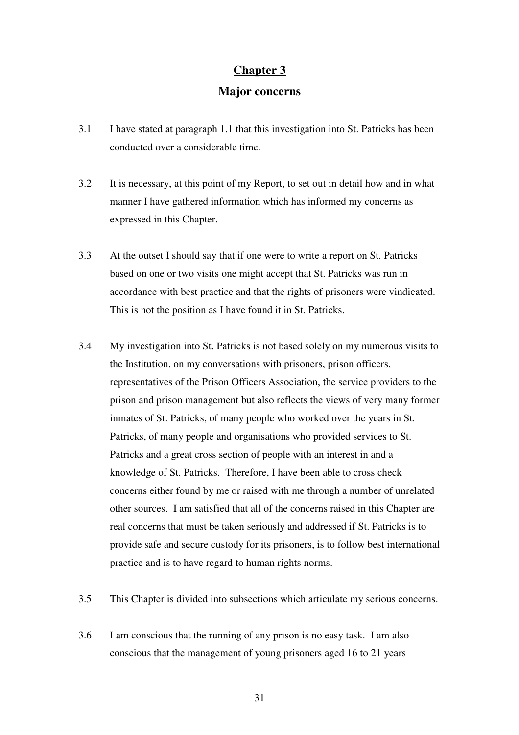#### **Chapter 3**

#### **Major concerns**

- 3.1 I have stated at paragraph 1.1 that this investigation into St. Patricks has been conducted over a considerable time.
- 3.2 It is necessary, at this point of my Report, to set out in detail how and in what manner I have gathered information which has informed my concerns as expressed in this Chapter.
- 3.3 At the outset I should say that if one were to write a report on St. Patricks based on one or two visits one might accept that St. Patricks was run in accordance with best practice and that the rights of prisoners were vindicated. This is not the position as I have found it in St. Patricks.
- 3.4 My investigation into St. Patricks is not based solely on my numerous visits to the Institution, on my conversations with prisoners, prison officers, representatives of the Prison Officers Association, the service providers to the prison and prison management but also reflects the views of very many former inmates of St. Patricks, of many people who worked over the years in St. Patricks, of many people and organisations who provided services to St. Patricks and a great cross section of people with an interest in and a knowledge of St. Patricks. Therefore, I have been able to cross check concerns either found by me or raised with me through a number of unrelated other sources. I am satisfied that all of the concerns raised in this Chapter are real concerns that must be taken seriously and addressed if St. Patricks is to provide safe and secure custody for its prisoners, is to follow best international practice and is to have regard to human rights norms.
- 3.5 This Chapter is divided into subsections which articulate my serious concerns.
- 3.6 I am conscious that the running of any prison is no easy task. I am also conscious that the management of young prisoners aged 16 to 21 years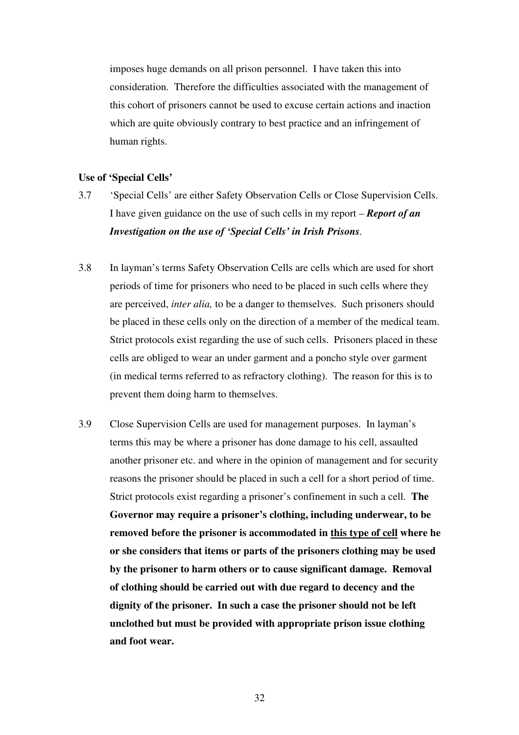imposes huge demands on all prison personnel. I have taken this into consideration. Therefore the difficulties associated with the management of this cohort of prisoners cannot be used to excuse certain actions and inaction which are quite obviously contrary to best practice and an infringement of human rights.

#### **Use of 'Special Cells'**

- 3.7 'Special Cells' are either Safety Observation Cells or Close Supervision Cells. I have given guidance on the use of such cells in my report – *Report of an Investigation on the use of 'Special Cells' in Irish Prisons.*
- 3.8 In layman's terms Safety Observation Cells are cells which are used for short periods of time for prisoners who need to be placed in such cells where they are perceived, *inter alia,* to be a danger to themselves. Such prisoners should be placed in these cells only on the direction of a member of the medical team. Strict protocols exist regarding the use of such cells. Prisoners placed in these cells are obliged to wear an under garment and a poncho style over garment (in medical terms referred to as refractory clothing). The reason for this is to prevent them doing harm to themselves.
- 3.9 Close Supervision Cells are used for management purposes. In layman's terms this may be where a prisoner has done damage to his cell, assaulted another prisoner etc. and where in the opinion of management and for security reasons the prisoner should be placed in such a cell for a short period of time. Strict protocols exist regarding a prisoner's confinement in such a cell. **The Governor may require a prisoner's clothing, including underwear, to be removed before the prisoner is accommodated in this type of cell where he or she considers that items or parts of the prisoners clothing may be used by the prisoner to harm others or to cause significant damage. Removal of clothing should be carried out with due regard to decency and the dignity of the prisoner. In such a case the prisoner should not be left unclothed but must be provided with appropriate prison issue clothing and foot wear.**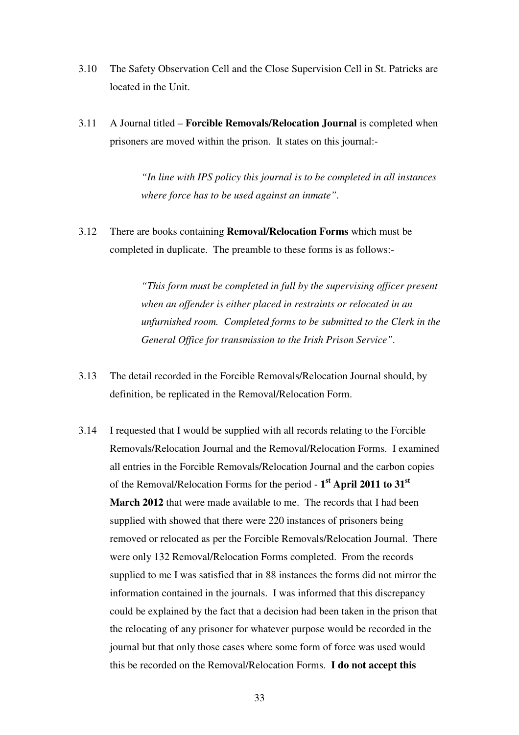- 3.10 The Safety Observation Cell and the Close Supervision Cell in St. Patricks are located in the Unit.
- 3.11 A Journal titled **Forcible Removals/Relocation Journal** is completed when prisoners are moved within the prison. It states on this journal:-

*"In line with IPS policy this journal is to be completed in all instances where force has to be used against an inmate".* 

3.12 There are books containing **Removal/Relocation Forms** which must be completed in duplicate. The preamble to these forms is as follows:-

> *"This form must be completed in full by the supervising officer present when an offender is either placed in restraints or relocated in an unfurnished room. Completed forms to be submitted to the Clerk in the General Office for transmission to the Irish Prison Service".*

- 3.13 The detail recorded in the Forcible Removals/Relocation Journal should, by definition, be replicated in the Removal/Relocation Form.
- 3.14 I requested that I would be supplied with all records relating to the Forcible Removals/Relocation Journal and the Removal/Relocation Forms. I examined all entries in the Forcible Removals/Relocation Journal and the carbon copies of the Removal/Relocation Forms for the period - **1 st April 2011 to 31st March 2012** that were made available to me. The records that I had been supplied with showed that there were 220 instances of prisoners being removed or relocated as per the Forcible Removals/Relocation Journal. There were only 132 Removal/Relocation Forms completed. From the records supplied to me I was satisfied that in 88 instances the forms did not mirror the information contained in the journals. I was informed that this discrepancy could be explained by the fact that a decision had been taken in the prison that the relocating of any prisoner for whatever purpose would be recorded in the journal but that only those cases where some form of force was used would this be recorded on the Removal/Relocation Forms. **I do not accept this**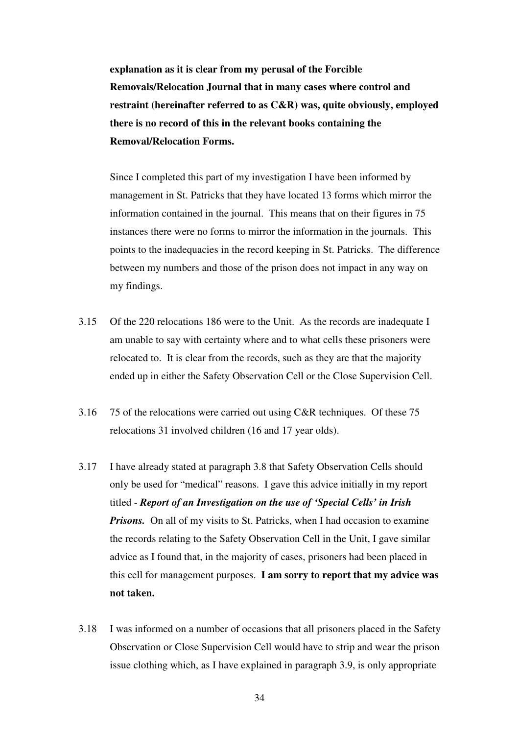**explanation as it is clear from my perusal of the Forcible Removals/Relocation Journal that in many cases where control and restraint (hereinafter referred to as C&R) was, quite obviously, employed there is no record of this in the relevant books containing the Removal/Relocation Forms.** 

Since I completed this part of my investigation I have been informed by management in St. Patricks that they have located 13 forms which mirror the information contained in the journal. This means that on their figures in 75 instances there were no forms to mirror the information in the journals. This points to the inadequacies in the record keeping in St. Patricks. The difference between my numbers and those of the prison does not impact in any way on my findings.

- 3.15 Of the 220 relocations 186 were to the Unit. As the records are inadequate I am unable to say with certainty where and to what cells these prisoners were relocated to. It is clear from the records, such as they are that the majority ended up in either the Safety Observation Cell or the Close Supervision Cell.
- 3.16 75 of the relocations were carried out using C&R techniques. Of these 75 relocations 31 involved children (16 and 17 year olds).
- 3.17 I have already stated at paragraph 3.8 that Safety Observation Cells should only be used for "medical" reasons. I gave this advice initially in my report titled - *Report of an Investigation on the use of 'Special Cells' in Irish*  **Prisons.** On all of my visits to St. Patricks, when I had occasion to examine the records relating to the Safety Observation Cell in the Unit, I gave similar advice as I found that, in the majority of cases, prisoners had been placed in this cell for management purposes. **I am sorry to report that my advice was not taken.**
- 3.18 I was informed on a number of occasions that all prisoners placed in the Safety Observation or Close Supervision Cell would have to strip and wear the prison issue clothing which, as I have explained in paragraph 3.9, is only appropriate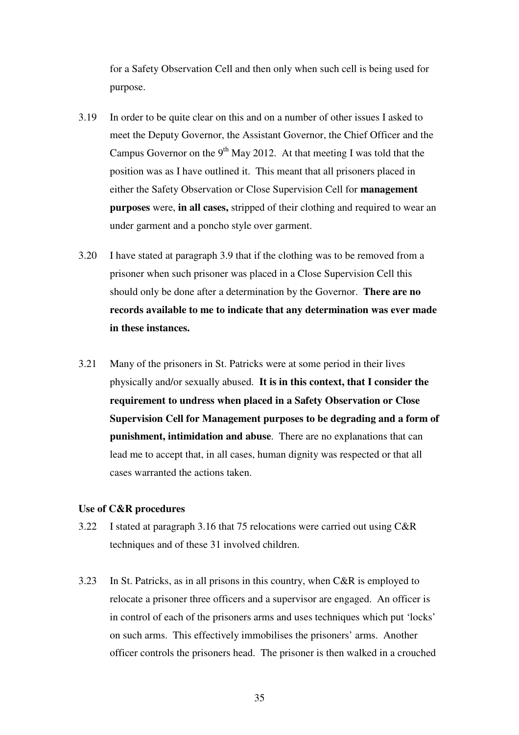for a Safety Observation Cell and then only when such cell is being used for purpose.

- 3.19 In order to be quite clear on this and on a number of other issues I asked to meet the Deputy Governor, the Assistant Governor, the Chief Officer and the Campus Governor on the 9<sup>th</sup> May 2012. At that meeting I was told that the position was as I have outlined it. This meant that all prisoners placed in either the Safety Observation or Close Supervision Cell for **management purposes** were, **in all cases,** stripped of their clothing and required to wear an under garment and a poncho style over garment.
- 3.20 I have stated at paragraph 3.9 that if the clothing was to be removed from a prisoner when such prisoner was placed in a Close Supervision Cell this should only be done after a determination by the Governor. **There are no records available to me to indicate that any determination was ever made in these instances.**
- 3.21 Many of the prisoners in St. Patricks were at some period in their lives physically and/or sexually abused. **It is in this context, that I consider the requirement to undress when placed in a Safety Observation or Close Supervision Cell for Management purposes to be degrading and a form of punishment, intimidation and abuse**. There are no explanations that can lead me to accept that, in all cases, human dignity was respected or that all cases warranted the actions taken.

#### **Use of C&R procedures**

- 3.22 I stated at paragraph 3.16 that 75 relocations were carried out using C&R techniques and of these 31 involved children.
- 3.23 In St. Patricks, as in all prisons in this country, when C&R is employed to relocate a prisoner three officers and a supervisor are engaged. An officer is in control of each of the prisoners arms and uses techniques which put 'locks' on such arms. This effectively immobilises the prisoners' arms. Another officer controls the prisoners head. The prisoner is then walked in a crouched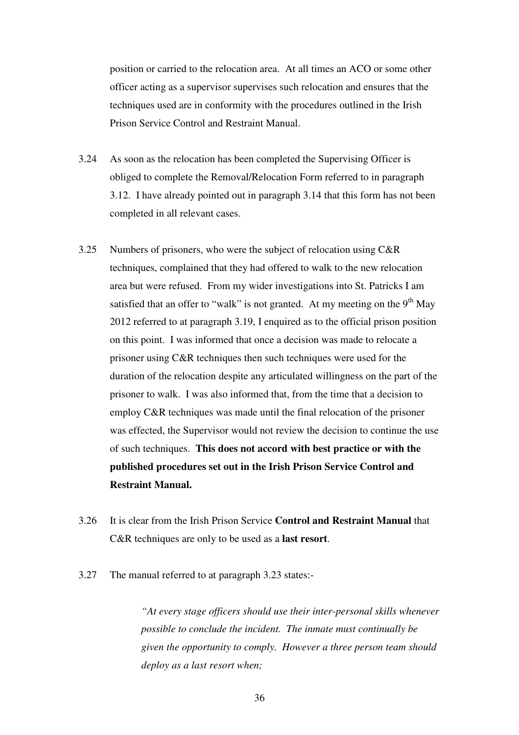position or carried to the relocation area. At all times an ACO or some other officer acting as a supervisor supervises such relocation and ensures that the techniques used are in conformity with the procedures outlined in the Irish Prison Service Control and Restraint Manual.

- 3.24 As soon as the relocation has been completed the Supervising Officer is obliged to complete the Removal/Relocation Form referred to in paragraph 3.12. I have already pointed out in paragraph 3.14 that this form has not been completed in all relevant cases.
- 3.25 Numbers of prisoners, who were the subject of relocation using C&R techniques, complained that they had offered to walk to the new relocation area but were refused. From my wider investigations into St. Patricks I am satisfied that an offer to "walk" is not granted. At my meeting on the  $9<sup>th</sup>$  May 2012 referred to at paragraph 3.19, I enquired as to the official prison position on this point. I was informed that once a decision was made to relocate a prisoner using C&R techniques then such techniques were used for the duration of the relocation despite any articulated willingness on the part of the prisoner to walk. I was also informed that, from the time that a decision to employ C&R techniques was made until the final relocation of the prisoner was effected, the Supervisor would not review the decision to continue the use of such techniques. **This does not accord with best practice or with the published procedures set out in the Irish Prison Service Control and Restraint Manual.**
- 3.26 It is clear from the Irish Prison Service **Control and Restraint Manual** that C&R techniques are only to be used as a **last resort**.
- 3.27 The manual referred to at paragraph 3.23 states:-

*"At every stage officers should use their inter-personal skills whenever possible to conclude the incident. The inmate must continually be given the opportunity to comply. However a three person team should deploy as a last resort when;*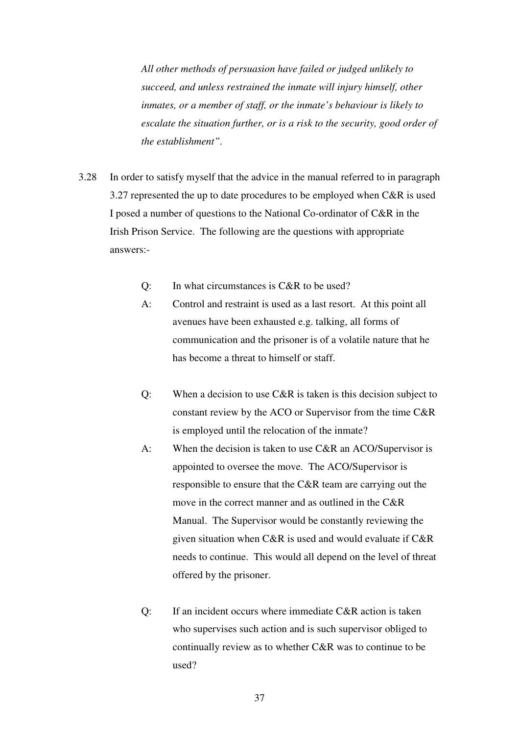*All other methods of persuasion have failed or judged unlikely to succeed, and unless restrained the inmate will injury himself, other inmates, or a member of staff, or the inmate's behaviour is likely to escalate the situation further, or is a risk to the security, good order of the establishment".* 

- 3.28 In order to satisfy myself that the advice in the manual referred to in paragraph 3.27 represented the up to date procedures to be employed when C&R is used I posed a number of questions to the National Co-ordinator of C&R in the Irish Prison Service. The following are the questions with appropriate answers:-
	- Q: In what circumstances is C&R to be used?
	- A: Control and restraint is used as a last resort. At this point all avenues have been exhausted e.g. talking, all forms of communication and the prisoner is of a volatile nature that he has become a threat to himself or staff.
	- Q: When a decision to use C&R is taken is this decision subject to constant review by the ACO or Supervisor from the time C&R is employed until the relocation of the inmate?
	- A: When the decision is taken to use C&R an ACO/Supervisor is appointed to oversee the move. The ACO/Supervisor is responsible to ensure that the C&R team are carrying out the move in the correct manner and as outlined in the C&R Manual. The Supervisor would be constantly reviewing the given situation when C&R is used and would evaluate if C&R needs to continue. This would all depend on the level of threat offered by the prisoner.
	- Q: If an incident occurs where immediate C&R action is taken who supervises such action and is such supervisor obliged to continually review as to whether C&R was to continue to be used?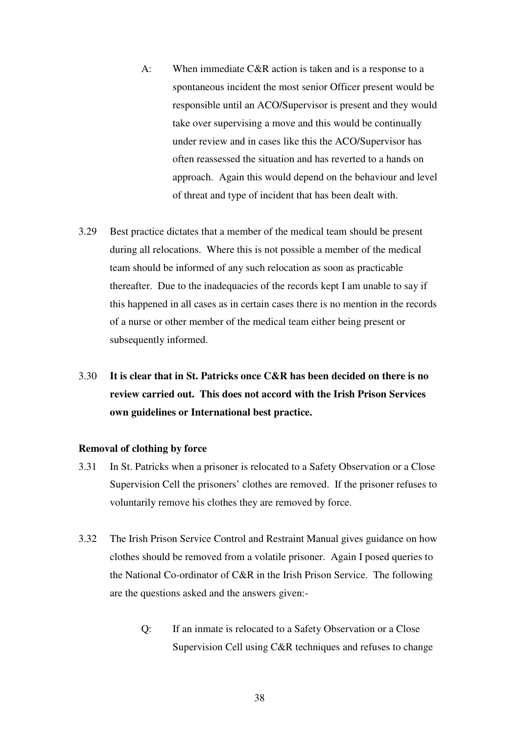- A: When immediate C&R action is taken and is a response to a spontaneous incident the most senior Officer present would be responsible until an ACO/Supervisor is present and they would take over supervising a move and this would be continually under review and in cases like this the ACO/Supervisor has often reassessed the situation and has reverted to a hands on approach. Again this would depend on the behaviour and level of threat and type of incident that has been dealt with.
- 3.29 Best practice dictates that a member of the medical team should be present during all relocations. Where this is not possible a member of the medical team should be informed of any such relocation as soon as practicable thereafter. Due to the inadequacies of the records kept I am unable to say if this happened in all cases as in certain cases there is no mention in the records of a nurse or other member of the medical team either being present or subsequently informed.

## 3.30 **It is clear that in St. Patricks once C&R has been decided on there is no review carried out. This does not accord with the Irish Prison Services own guidelines or International best practice.**

#### **Removal of clothing by force**

- 3.31 In St. Patricks when a prisoner is relocated to a Safety Observation or a Close Supervision Cell the prisoners' clothes are removed. If the prisoner refuses to voluntarily remove his clothes they are removed by force.
- 3.32 The Irish Prison Service Control and Restraint Manual gives guidance on how clothes should be removed from a volatile prisoner. Again I posed queries to the National Co-ordinator of C&R in the Irish Prison Service. The following are the questions asked and the answers given:-
	- Q: If an inmate is relocated to a Safety Observation or a Close Supervision Cell using C&R techniques and refuses to change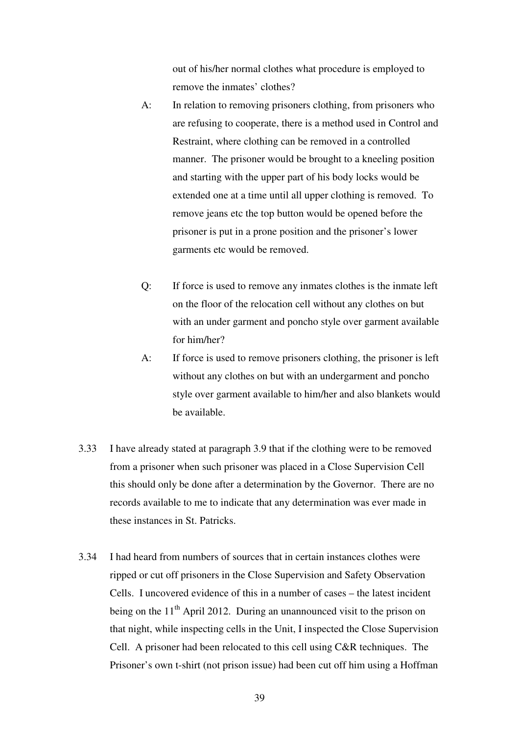out of his/her normal clothes what procedure is employed to remove the inmates' clothes?

- A: In relation to removing prisoners clothing, from prisoners who are refusing to cooperate, there is a method used in Control and Restraint, where clothing can be removed in a controlled manner. The prisoner would be brought to a kneeling position and starting with the upper part of his body locks would be extended one at a time until all upper clothing is removed. To remove jeans etc the top button would be opened before the prisoner is put in a prone position and the prisoner's lower garments etc would be removed.
- Q: If force is used to remove any inmates clothes is the inmate left on the floor of the relocation cell without any clothes on but with an under garment and poncho style over garment available for him/her?
- A: If force is used to remove prisoners clothing, the prisoner is left without any clothes on but with an undergarment and poncho style over garment available to him/her and also blankets would be available.
- 3.33 I have already stated at paragraph 3.9 that if the clothing were to be removed from a prisoner when such prisoner was placed in a Close Supervision Cell this should only be done after a determination by the Governor. There are no records available to me to indicate that any determination was ever made in these instances in St. Patricks.
- 3.34 I had heard from numbers of sources that in certain instances clothes were ripped or cut off prisoners in the Close Supervision and Safety Observation Cells. I uncovered evidence of this in a number of cases – the latest incident being on the  $11<sup>th</sup>$  April 2012. During an unannounced visit to the prison on that night, while inspecting cells in the Unit, I inspected the Close Supervision Cell. A prisoner had been relocated to this cell using C&R techniques. The Prisoner's own t-shirt (not prison issue) had been cut off him using a Hoffman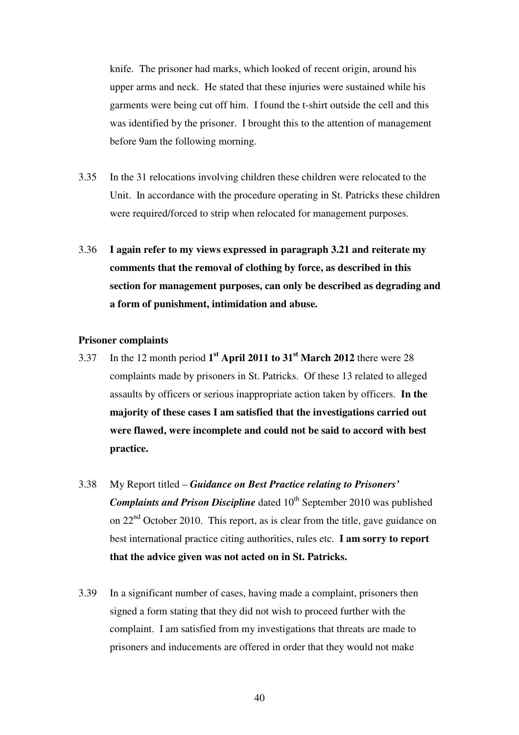knife. The prisoner had marks, which looked of recent origin, around his upper arms and neck. He stated that these injuries were sustained while his garments were being cut off him. I found the t-shirt outside the cell and this was identified by the prisoner. I brought this to the attention of management before 9am the following morning.

- 3.35 In the 31 relocations involving children these children were relocated to the Unit. In accordance with the procedure operating in St. Patricks these children were required/forced to strip when relocated for management purposes.
- 3.36 **I again refer to my views expressed in paragraph 3.21 and reiterate my comments that the removal of clothing by force, as described in this section for management purposes, can only be described as degrading and a form of punishment, intimidation and abuse.**

#### **Prisoner complaints**

- 3.37 In the 12 month period **1 st April 2011 to 31st March 2012** there were 28 complaints made by prisoners in St. Patricks. Of these 13 related to alleged assaults by officers or serious inappropriate action taken by officers. **In the majority of these cases I am satisfied that the investigations carried out were flawed, were incomplete and could not be said to accord with best practice.**
- 3.38 My Report titled *Guidance on Best Practice relating to Prisoners' Complaints and Prison Discipline* dated 10<sup>th</sup> September 2010 was published on  $22<sup>nd</sup>$  October 2010. This report, as is clear from the title, gave guidance on best international practice citing authorities, rules etc. **I am sorry to report that the advice given was not acted on in St. Patricks.**
- 3.39 In a significant number of cases, having made a complaint, prisoners then signed a form stating that they did not wish to proceed further with the complaint. I am satisfied from my investigations that threats are made to prisoners and inducements are offered in order that they would not make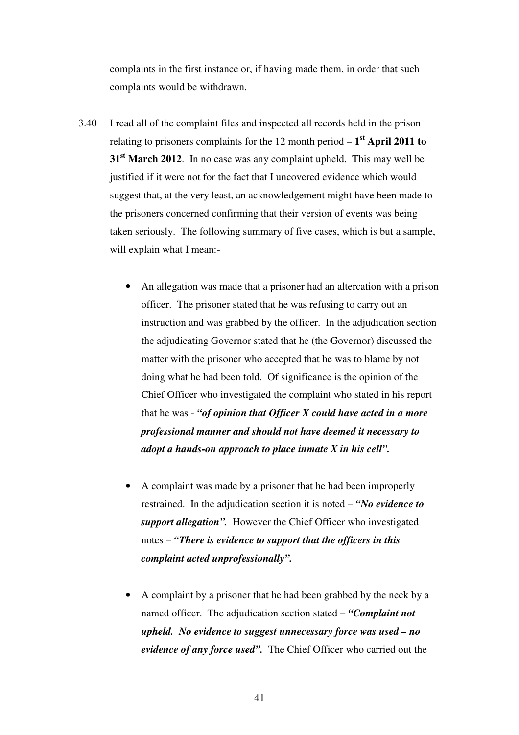complaints in the first instance or, if having made them, in order that such complaints would be withdrawn.

- 3.40 I read all of the complaint files and inspected all records held in the prison relating to prisoners complaints for the 12 month period – **1 st April 2011 to 31st March 2012**. In no case was any complaint upheld. This may well be justified if it were not for the fact that I uncovered evidence which would suggest that, at the very least, an acknowledgement might have been made to the prisoners concerned confirming that their version of events was being taken seriously. The following summary of five cases, which is but a sample, will explain what I mean:-
	- An allegation was made that a prisoner had an altercation with a prison officer. The prisoner stated that he was refusing to carry out an instruction and was grabbed by the officer. In the adjudication section the adjudicating Governor stated that he (the Governor) discussed the matter with the prisoner who accepted that he was to blame by not doing what he had been told. Of significance is the opinion of the Chief Officer who investigated the complaint who stated in his report that he was - *"of opinion that Officer X could have acted in a more professional manner and should not have deemed it necessary to adopt a hands-on approach to place inmate X in his cell".*
	- A complaint was made by a prisoner that he had been improperly restrained. In the adjudication section it is noted – *"No evidence to support allegation".* However the Chief Officer who investigated notes – *"There is evidence to support that the officers in this complaint acted unprofessionally".*
	- A complaint by a prisoner that he had been grabbed by the neck by a named officer. The adjudication section stated – *"Complaint not upheld. No evidence to suggest unnecessary force was used – no evidence of any force used".* The Chief Officer who carried out the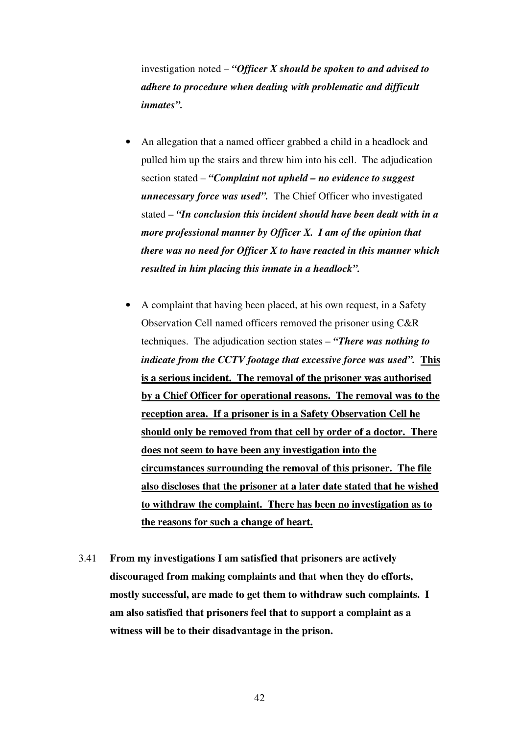investigation noted – *"Officer X should be spoken to and advised to adhere to procedure when dealing with problematic and difficult inmates".*

- An allegation that a named officer grabbed a child in a headlock and pulled him up the stairs and threw him into his cell. The adjudication section stated – *"Complaint not upheld – no evidence to suggest unnecessary force was used".* The Chief Officer who investigated stated – *"In conclusion this incident should have been dealt with in a more professional manner by Officer X. I am of the opinion that there was no need for Officer X to have reacted in this manner which resulted in him placing this inmate in a headlock".*
- A complaint that having been placed, at his own request, in a Safety Observation Cell named officers removed the prisoner using C&R techniques. The adjudication section states – *"There was nothing to indicate from the CCTV footage that excessive force was used".* **This is a serious incident. The removal of the prisoner was authorised by a Chief Officer for operational reasons. The removal was to the reception area. If a prisoner is in a Safety Observation Cell he should only be removed from that cell by order of a doctor. There does not seem to have been any investigation into the circumstances surrounding the removal of this prisoner. The file also discloses that the prisoner at a later date stated that he wished to withdraw the complaint. There has been no investigation as to the reasons for such a change of heart.**
- 3.41 **From my investigations I am satisfied that prisoners are actively discouraged from making complaints and that when they do efforts, mostly successful, are made to get them to withdraw such complaints. I am also satisfied that prisoners feel that to support a complaint as a witness will be to their disadvantage in the prison.**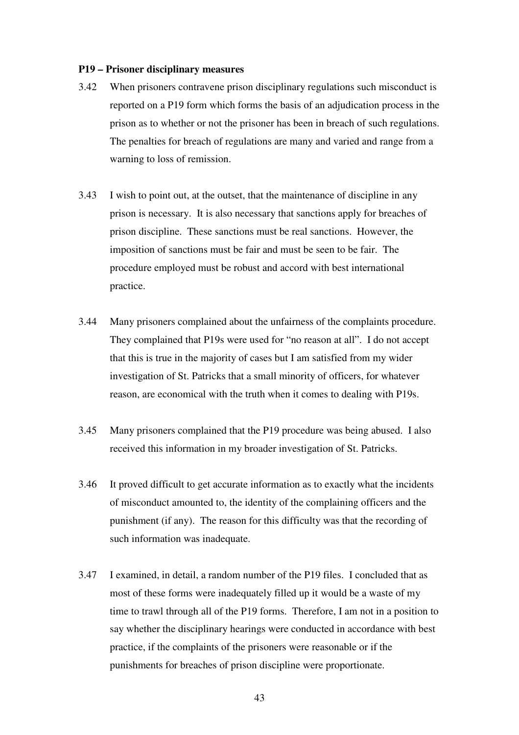#### **P19 – Prisoner disciplinary measures**

- 3.42 When prisoners contravene prison disciplinary regulations such misconduct is reported on a P19 form which forms the basis of an adjudication process in the prison as to whether or not the prisoner has been in breach of such regulations. The penalties for breach of regulations are many and varied and range from a warning to loss of remission.
- 3.43 I wish to point out, at the outset, that the maintenance of discipline in any prison is necessary. It is also necessary that sanctions apply for breaches of prison discipline. These sanctions must be real sanctions. However, the imposition of sanctions must be fair and must be seen to be fair. The procedure employed must be robust and accord with best international practice.
- 3.44 Many prisoners complained about the unfairness of the complaints procedure. They complained that P19s were used for "no reason at all". I do not accept that this is true in the majority of cases but I am satisfied from my wider investigation of St. Patricks that a small minority of officers, for whatever reason, are economical with the truth when it comes to dealing with P19s.
- 3.45 Many prisoners complained that the P19 procedure was being abused. I also received this information in my broader investigation of St. Patricks.
- 3.46 It proved difficult to get accurate information as to exactly what the incidents of misconduct amounted to, the identity of the complaining officers and the punishment (if any). The reason for this difficulty was that the recording of such information was inadequate.
- 3.47 I examined, in detail, a random number of the P19 files. I concluded that as most of these forms were inadequately filled up it would be a waste of my time to trawl through all of the P19 forms. Therefore, I am not in a position to say whether the disciplinary hearings were conducted in accordance with best practice, if the complaints of the prisoners were reasonable or if the punishments for breaches of prison discipline were proportionate.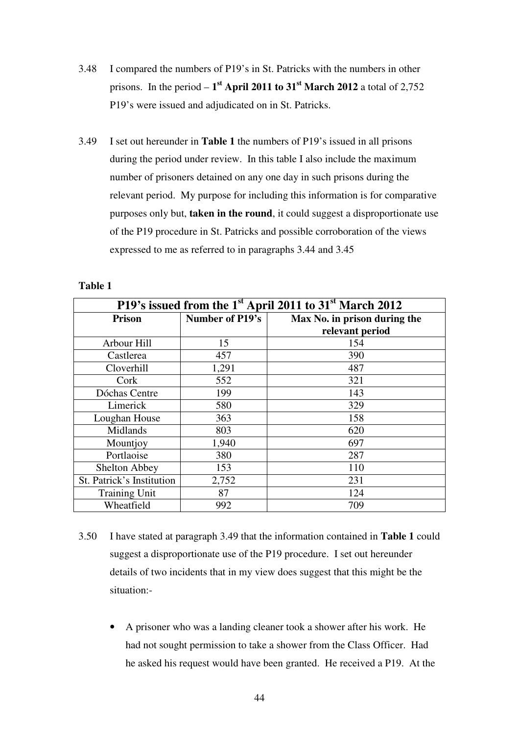- 3.48 I compared the numbers of P19's in St. Patricks with the numbers in other prisons. In the period  $-1$ <sup>st</sup> April 2011 to 31<sup>st</sup> March 2012 a total of 2,752 P19's were issued and adjudicated on in St. Patricks.
- 3.49 I set out hereunder in **Table 1** the numbers of P19's issued in all prisons during the period under review. In this table I also include the maximum number of prisoners detained on any one day in such prisons during the relevant period. My purpose for including this information is for comparative purposes only but, **taken in the round**, it could suggest a disproportionate use of the P19 procedure in St. Patricks and possible corroboration of the views expressed to me as referred to in paragraphs 3.44 and 3.45

| P19's issued from the 1 <sup>st</sup> April 2011 to 31 <sup>st</sup> March 2012 |                 |                              |  |  |
|---------------------------------------------------------------------------------|-----------------|------------------------------|--|--|
| <b>Prison</b>                                                                   | Number of P19's | Max No. in prison during the |  |  |
|                                                                                 |                 | relevant period              |  |  |
| Arbour Hill                                                                     | 15              | 154                          |  |  |
| Castlerea                                                                       | 457             | 390                          |  |  |
| Cloverhill                                                                      | 1,291           | 487                          |  |  |
| Cork                                                                            | 552             | 321                          |  |  |
| Dóchas Centre                                                                   | 199             | 143                          |  |  |
| Limerick                                                                        | 580             | 329                          |  |  |
| Loughan House                                                                   | 363             | 158                          |  |  |
| Midlands                                                                        | 803             | 620                          |  |  |
| Mountjoy                                                                        | 1,940           | 697                          |  |  |
| Portlaoise                                                                      | 380             | 287                          |  |  |
| <b>Shelton Abbey</b>                                                            | 153             | 110                          |  |  |
| St. Patrick's Institution                                                       | 2,752           | 231                          |  |  |
| <b>Training Unit</b>                                                            | 87              | 124                          |  |  |
| Wheatfield                                                                      | 992             | 709                          |  |  |

#### **Table 1**

- 3.50 I have stated at paragraph 3.49 that the information contained in **Table 1** could suggest a disproportionate use of the P19 procedure. I set out hereunder details of two incidents that in my view does suggest that this might be the situation:-
	- A prisoner who was a landing cleaner took a shower after his work. He had not sought permission to take a shower from the Class Officer. Had he asked his request would have been granted. He received a P19. At the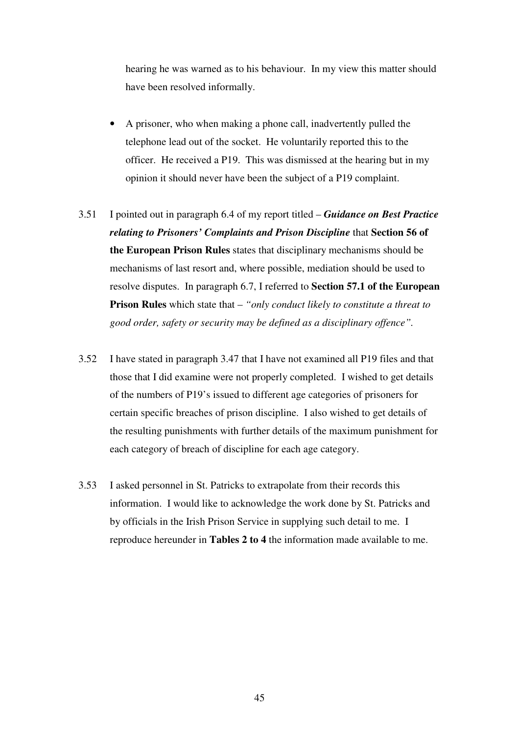hearing he was warned as to his behaviour. In my view this matter should have been resolved informally.

- A prisoner, who when making a phone call, inadvertently pulled the telephone lead out of the socket. He voluntarily reported this to the officer. He received a P19. This was dismissed at the hearing but in my opinion it should never have been the subject of a P19 complaint.
- 3.51 I pointed out in paragraph 6.4 of my report titled *Guidance on Best Practice relating to Prisoners' Complaints and Prison Discipline* that **Section 56 of the European Prison Rules** states that disciplinary mechanisms should be mechanisms of last resort and, where possible, mediation should be used to resolve disputes. In paragraph 6.7, I referred to **Section 57.1 of the European Prison Rules** which state that – *"only conduct likely to constitute a threat to good order, safety or security may be defined as a disciplinary offence".*
- 3.52 I have stated in paragraph 3.47 that I have not examined all P19 files and that those that I did examine were not properly completed. I wished to get details of the numbers of P19's issued to different age categories of prisoners for certain specific breaches of prison discipline. I also wished to get details of the resulting punishments with further details of the maximum punishment for each category of breach of discipline for each age category.
- 3.53 I asked personnel in St. Patricks to extrapolate from their records this information. I would like to acknowledge the work done by St. Patricks and by officials in the Irish Prison Service in supplying such detail to me. I reproduce hereunder in **Tables 2 to 4** the information made available to me.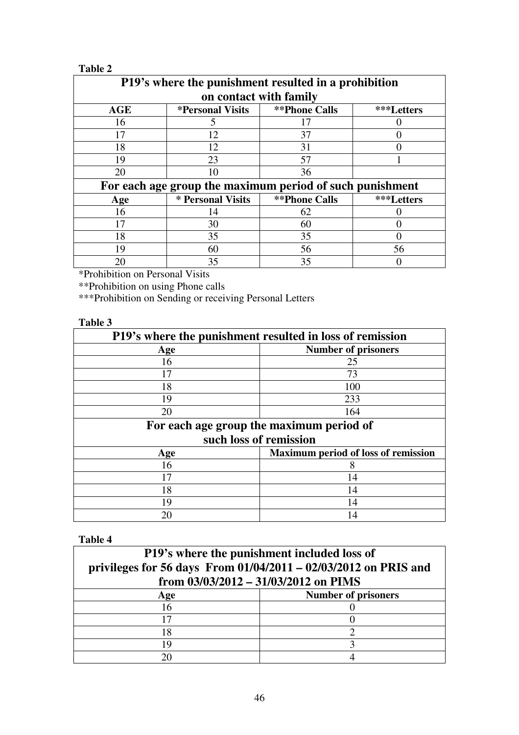## **Table 2**

| P19's where the punishment resulted in a prohibition     |                                |                      |            |  |  |
|----------------------------------------------------------|--------------------------------|----------------------|------------|--|--|
| on contact with family                                   |                                |                      |            |  |  |
| <b>AGE</b>                                               | <i><b>*Personal Visits</b></i> | <b>**Phone Calls</b> | ***Letters |  |  |
| 16                                                       | 5                              | 17                   |            |  |  |
| 17                                                       | 12                             | 37                   |            |  |  |
| 18                                                       | 12                             | 31                   |            |  |  |
| 19                                                       | 23                             | 57                   |            |  |  |
| 20                                                       | 10                             | 36                   |            |  |  |
| For each age group the maximum period of such punishment |                                |                      |            |  |  |
| Age                                                      | * Personal Visits              | <b>**Phone Calls</b> | ***Letters |  |  |
| 16                                                       | 14                             | 62                   |            |  |  |
|                                                          | 30                             | 60                   |            |  |  |
| 18                                                       | 35                             | 35                   |            |  |  |
| 19                                                       | 60                             | 56                   | 56         |  |  |
| 20                                                       | 35                             | 35                   |            |  |  |

\*Prohibition on Personal Visits

\*\*Prohibition on using Phone calls

\*\*\*Prohibition on Sending or receiving Personal Letters

## **Table 3**

| P19's where the punishment resulted in loss of remission |                                            |  |  |  |
|----------------------------------------------------------|--------------------------------------------|--|--|--|
| Age                                                      | <b>Number of prisoners</b>                 |  |  |  |
| 16                                                       | 25                                         |  |  |  |
| 17                                                       | 73                                         |  |  |  |
| 18                                                       | 100                                        |  |  |  |
| 19                                                       | 233                                        |  |  |  |
| 20                                                       | 164                                        |  |  |  |
| For each age group the maximum period of                 |                                            |  |  |  |
| such loss of remission                                   |                                            |  |  |  |
| Age                                                      | <b>Maximum period of loss of remission</b> |  |  |  |
| 16                                                       | 8                                          |  |  |  |
| 17                                                       | 14                                         |  |  |  |
| 18                                                       | 14                                         |  |  |  |
| 19                                                       | 14                                         |  |  |  |
| 20                                                       | 14                                         |  |  |  |

**Table 4** 

| <b>P19's where the punishment included loss of</b><br>privileges for 56 days From $01/04/2011 - 02/03/2012$ on PRIS and<br>from $03/03/2012 - 31/03/2012$ on PIMS |                            |  |  |
|-------------------------------------------------------------------------------------------------------------------------------------------------------------------|----------------------------|--|--|
| Age                                                                                                                                                               | <b>Number of prisoners</b> |  |  |
| 16                                                                                                                                                                |                            |  |  |
|                                                                                                                                                                   |                            |  |  |
| 18                                                                                                                                                                |                            |  |  |
| 1 Q                                                                                                                                                               |                            |  |  |
| 20                                                                                                                                                                |                            |  |  |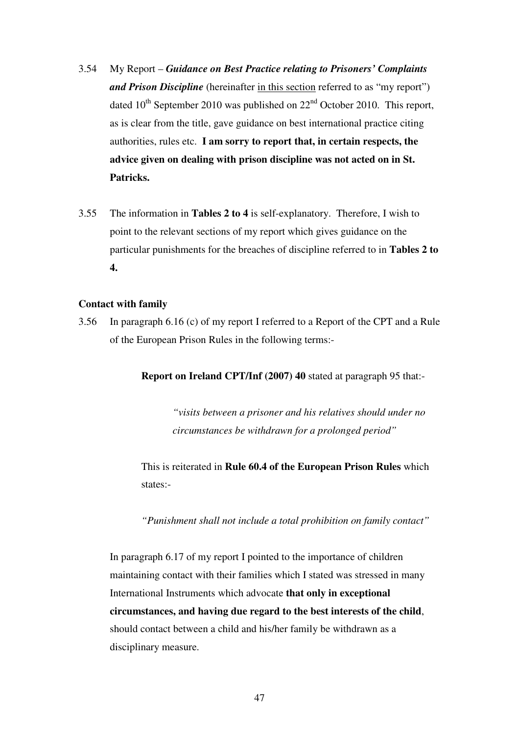- 3.54 My Report *Guidance on Best Practice relating to Prisoners' Complaints and Prison Discipline* (hereinafter in this section referred to as "my report") dated  $10^{th}$  September 2010 was published on  $22^{nd}$  October 2010. This report, as is clear from the title, gave guidance on best international practice citing authorities, rules etc. **I am sorry to report that, in certain respects, the advice given on dealing with prison discipline was not acted on in St. Patricks.**
- 3.55 The information in **Tables 2 to 4** is self-explanatory. Therefore, I wish to point to the relevant sections of my report which gives guidance on the particular punishments for the breaches of discipline referred to in **Tables 2 to 4.**

### **Contact with family**

3.56 In paragraph 6.16 (c) of my report I referred to a Report of the CPT and a Rule of the European Prison Rules in the following terms:-

**Report on Ireland CPT/Inf (2007) 40** stated at paragraph 95 that:-

*"visits between a prisoner and his relatives should under no circumstances be withdrawn for a prolonged period"*

This is reiterated in **Rule 60.4 of the European Prison Rules** which states:-

*"Punishment shall not include a total prohibition on family contact"* 

In paragraph 6.17 of my report I pointed to the importance of children maintaining contact with their families which I stated was stressed in many International Instruments which advocate **that only in exceptional circumstances, and having due regard to the best interests of the child**, should contact between a child and his/her family be withdrawn as a disciplinary measure.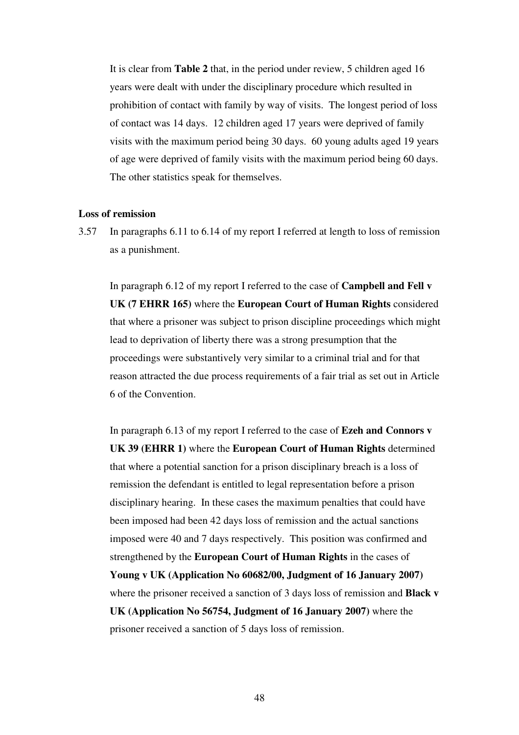It is clear from **Table 2** that, in the period under review, 5 children aged 16 years were dealt with under the disciplinary procedure which resulted in prohibition of contact with family by way of visits. The longest period of loss of contact was 14 days. 12 children aged 17 years were deprived of family visits with the maximum period being 30 days. 60 young adults aged 19 years of age were deprived of family visits with the maximum period being 60 days. The other statistics speak for themselves.

#### **Loss of remission**

3.57 In paragraphs 6.11 to 6.14 of my report I referred at length to loss of remission as a punishment.

In paragraph 6.12 of my report I referred to the case of **Campbell and Fell v UK (7 EHRR 165)** where the **European Court of Human Rights** considered that where a prisoner was subject to prison discipline proceedings which might lead to deprivation of liberty there was a strong presumption that the proceedings were substantively very similar to a criminal trial and for that reason attracted the due process requirements of a fair trial as set out in Article 6 of the Convention.

In paragraph 6.13 of my report I referred to the case of **Ezeh and Connors v UK 39 (EHRR 1)** where the **European Court of Human Rights** determined that where a potential sanction for a prison disciplinary breach is a loss of remission the defendant is entitled to legal representation before a prison disciplinary hearing. In these cases the maximum penalties that could have been imposed had been 42 days loss of remission and the actual sanctions imposed were 40 and 7 days respectively. This position was confirmed and strengthened by the **European Court of Human Rights** in the cases of **Young v UK (Application No 60682/00, Judgment of 16 January 2007)**  where the prisoner received a sanction of 3 days loss of remission and **Black v UK (Application No 56754, Judgment of 16 January 2007)** where the prisoner received a sanction of 5 days loss of remission.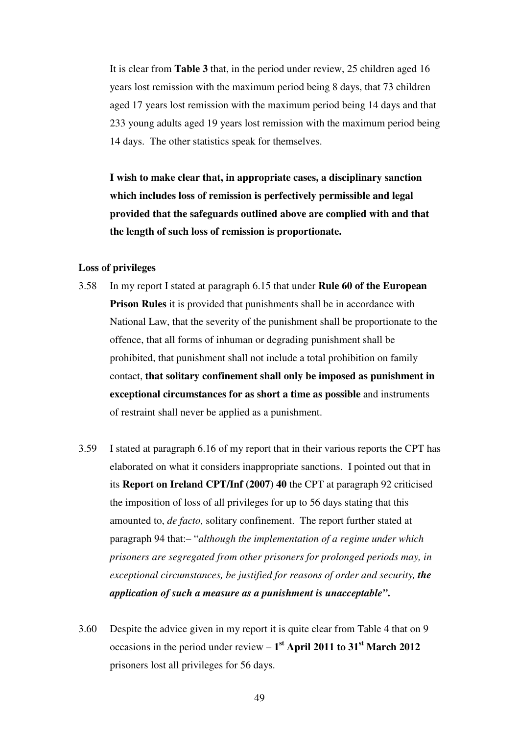It is clear from **Table 3** that, in the period under review, 25 children aged 16 years lost remission with the maximum period being 8 days, that 73 children aged 17 years lost remission with the maximum period being 14 days and that 233 young adults aged 19 years lost remission with the maximum period being 14 days. The other statistics speak for themselves.

**I wish to make clear that, in appropriate cases, a disciplinary sanction which includes loss of remission is perfectively permissible and legal provided that the safeguards outlined above are complied with and that the length of such loss of remission is proportionate.** 

#### **Loss of privileges**

- 3.58 In my report I stated at paragraph 6.15 that under **Rule 60 of the European Prison Rules** it is provided that punishments shall be in accordance with National Law, that the severity of the punishment shall be proportionate to the offence, that all forms of inhuman or degrading punishment shall be prohibited, that punishment shall not include a total prohibition on family contact, **that solitary confinement shall only be imposed as punishment in exceptional circumstances for as short a time as possible** and instruments of restraint shall never be applied as a punishment.
- 3.59 I stated at paragraph 6.16 of my report that in their various reports the CPT has elaborated on what it considers inappropriate sanctions. I pointed out that in its **Report on Ireland CPT/Inf (2007) 40** the CPT at paragraph 92 criticised the imposition of loss of all privileges for up to 56 days stating that this amounted to, *de facto,* solitary confinement. The report further stated at paragraph 94 that:– "*although the implementation of a regime under which prisoners are segregated from other prisoners for prolonged periods may, in exceptional circumstances, be justified for reasons of order and security, the application of such a measure as a punishment is unacceptable"***.**
- 3.60 Despite the advice given in my report it is quite clear from Table 4 that on 9 occasions in the period under review – **1 st April 2011 to 31st March 2012** prisoners lost all privileges for 56 days.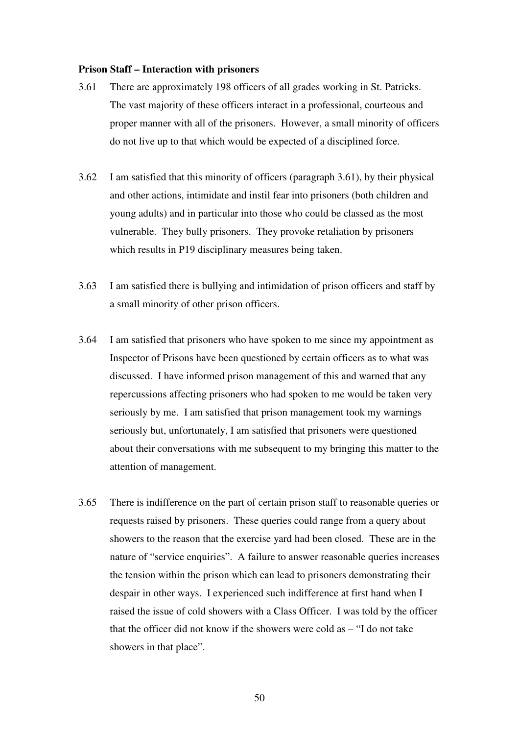#### **Prison Staff – Interaction with prisoners**

- 3.61 There are approximately 198 officers of all grades working in St. Patricks. The vast majority of these officers interact in a professional, courteous and proper manner with all of the prisoners. However, a small minority of officers do not live up to that which would be expected of a disciplined force.
- 3.62 I am satisfied that this minority of officers (paragraph 3.61), by their physical and other actions, intimidate and instil fear into prisoners (both children and young adults) and in particular into those who could be classed as the most vulnerable. They bully prisoners. They provoke retaliation by prisoners which results in P19 disciplinary measures being taken.
- 3.63 I am satisfied there is bullying and intimidation of prison officers and staff by a small minority of other prison officers.
- 3.64 I am satisfied that prisoners who have spoken to me since my appointment as Inspector of Prisons have been questioned by certain officers as to what was discussed. I have informed prison management of this and warned that any repercussions affecting prisoners who had spoken to me would be taken very seriously by me. I am satisfied that prison management took my warnings seriously but, unfortunately, I am satisfied that prisoners were questioned about their conversations with me subsequent to my bringing this matter to the attention of management.
- 3.65 There is indifference on the part of certain prison staff to reasonable queries or requests raised by prisoners. These queries could range from a query about showers to the reason that the exercise yard had been closed. These are in the nature of "service enquiries". A failure to answer reasonable queries increases the tension within the prison which can lead to prisoners demonstrating their despair in other ways. I experienced such indifference at first hand when I raised the issue of cold showers with a Class Officer. I was told by the officer that the officer did not know if the showers were cold as – "I do not take showers in that place".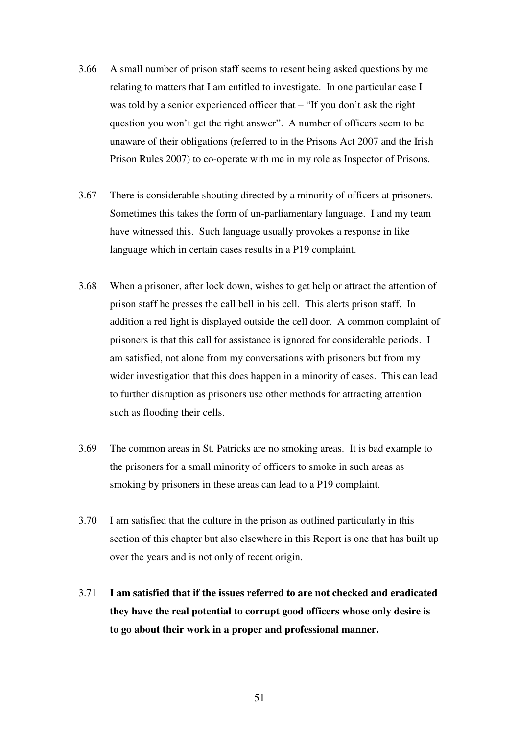- 3.66 A small number of prison staff seems to resent being asked questions by me relating to matters that I am entitled to investigate. In one particular case I was told by a senior experienced officer that – "If you don't ask the right question you won't get the right answer". A number of officers seem to be unaware of their obligations (referred to in the Prisons Act 2007 and the Irish Prison Rules 2007) to co-operate with me in my role as Inspector of Prisons.
- 3.67 There is considerable shouting directed by a minority of officers at prisoners. Sometimes this takes the form of un-parliamentary language. I and my team have witnessed this. Such language usually provokes a response in like language which in certain cases results in a P19 complaint.
- 3.68 When a prisoner, after lock down, wishes to get help or attract the attention of prison staff he presses the call bell in his cell. This alerts prison staff. In addition a red light is displayed outside the cell door. A common complaint of prisoners is that this call for assistance is ignored for considerable periods. I am satisfied, not alone from my conversations with prisoners but from my wider investigation that this does happen in a minority of cases. This can lead to further disruption as prisoners use other methods for attracting attention such as flooding their cells.
- 3.69 The common areas in St. Patricks are no smoking areas. It is bad example to the prisoners for a small minority of officers to smoke in such areas as smoking by prisoners in these areas can lead to a P19 complaint.
- 3.70 I am satisfied that the culture in the prison as outlined particularly in this section of this chapter but also elsewhere in this Report is one that has built up over the years and is not only of recent origin.
- 3.71 **I am satisfied that if the issues referred to are not checked and eradicated they have the real potential to corrupt good officers whose only desire is to go about their work in a proper and professional manner.**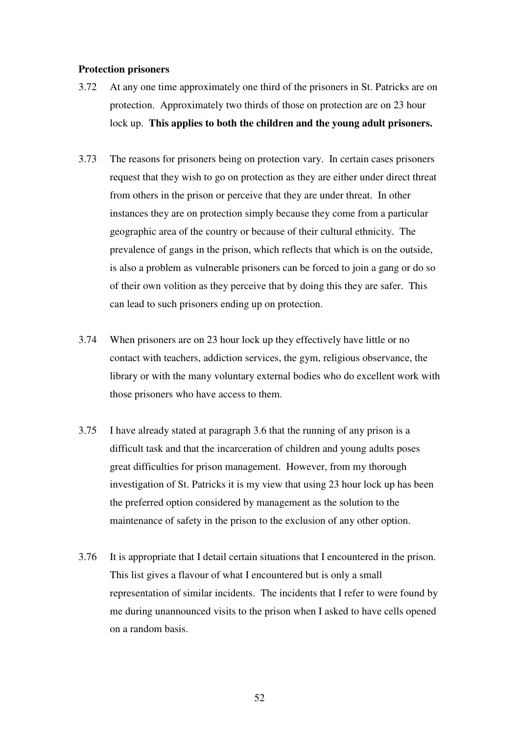#### **Protection prisoners**

- 3.72 At any one time approximately one third of the prisoners in St. Patricks are on protection. Approximately two thirds of those on protection are on 23 hour lock up. **This applies to both the children and the young adult prisoners.**
- 3.73 The reasons for prisoners being on protection vary. In certain cases prisoners request that they wish to go on protection as they are either under direct threat from others in the prison or perceive that they are under threat. In other instances they are on protection simply because they come from a particular geographic area of the country or because of their cultural ethnicity. The prevalence of gangs in the prison, which reflects that which is on the outside, is also a problem as vulnerable prisoners can be forced to join a gang or do so of their own volition as they perceive that by doing this they are safer. This can lead to such prisoners ending up on protection.
- 3.74 When prisoners are on 23 hour lock up they effectively have little or no contact with teachers, addiction services, the gym, religious observance, the library or with the many voluntary external bodies who do excellent work with those prisoners who have access to them.
- 3.75 I have already stated at paragraph 3.6 that the running of any prison is a difficult task and that the incarceration of children and young adults poses great difficulties for prison management. However, from my thorough investigation of St. Patricks it is my view that using 23 hour lock up has been the preferred option considered by management as the solution to the maintenance of safety in the prison to the exclusion of any other option.
- 3.76 It is appropriate that I detail certain situations that I encountered in the prison. This list gives a flavour of what I encountered but is only a small representation of similar incidents. The incidents that I refer to were found by me during unannounced visits to the prison when I asked to have cells opened on a random basis.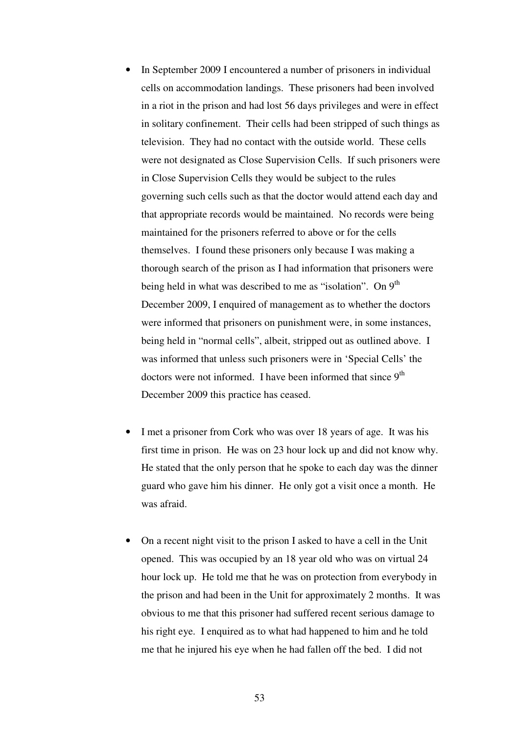- In September 2009 I encountered a number of prisoners in individual cells on accommodation landings. These prisoners had been involved in a riot in the prison and had lost 56 days privileges and were in effect in solitary confinement. Their cells had been stripped of such things as television. They had no contact with the outside world. These cells were not designated as Close Supervision Cells. If such prisoners were in Close Supervision Cells they would be subject to the rules governing such cells such as that the doctor would attend each day and that appropriate records would be maintained. No records were being maintained for the prisoners referred to above or for the cells themselves. I found these prisoners only because I was making a thorough search of the prison as I had information that prisoners were being held in what was described to me as "isolation". On  $9<sup>th</sup>$ December 2009, I enquired of management as to whether the doctors were informed that prisoners on punishment were, in some instances, being held in "normal cells", albeit, stripped out as outlined above. I was informed that unless such prisoners were in 'Special Cells' the doctors were not informed. I have been informed that since  $9<sup>th</sup>$ December 2009 this practice has ceased.
- I met a prisoner from Cork who was over 18 years of age. It was his first time in prison. He was on 23 hour lock up and did not know why. He stated that the only person that he spoke to each day was the dinner guard who gave him his dinner. He only got a visit once a month. He was afraid.
- On a recent night visit to the prison I asked to have a cell in the Unit opened. This was occupied by an 18 year old who was on virtual 24 hour lock up. He told me that he was on protection from everybody in the prison and had been in the Unit for approximately 2 months. It was obvious to me that this prisoner had suffered recent serious damage to his right eye. I enquired as to what had happened to him and he told me that he injured his eye when he had fallen off the bed. I did not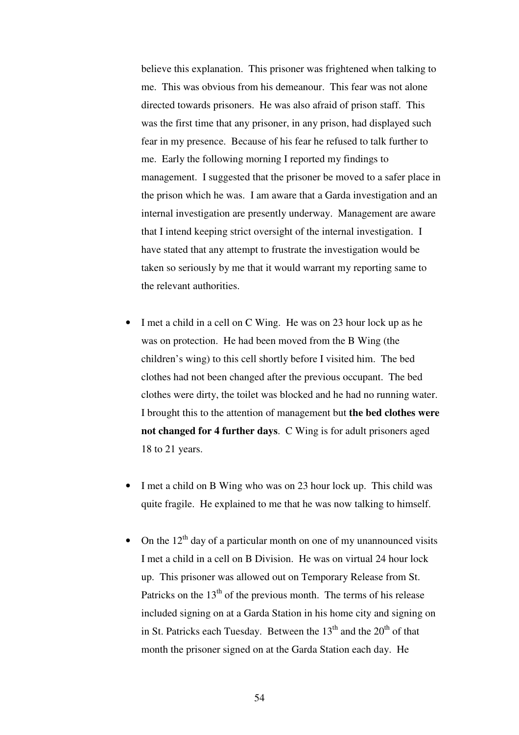believe this explanation. This prisoner was frightened when talking to me. This was obvious from his demeanour. This fear was not alone directed towards prisoners. He was also afraid of prison staff. This was the first time that any prisoner, in any prison, had displayed such fear in my presence. Because of his fear he refused to talk further to me. Early the following morning I reported my findings to management. I suggested that the prisoner be moved to a safer place in the prison which he was. I am aware that a Garda investigation and an internal investigation are presently underway. Management are aware that I intend keeping strict oversight of the internal investigation. I have stated that any attempt to frustrate the investigation would be taken so seriously by me that it would warrant my reporting same to the relevant authorities.

- I met a child in a cell on C Wing. He was on 23 hour lock up as he was on protection. He had been moved from the B Wing (the children's wing) to this cell shortly before I visited him. The bed clothes had not been changed after the previous occupant. The bed clothes were dirty, the toilet was blocked and he had no running water. I brought this to the attention of management but **the bed clothes were not changed for 4 further days**. C Wing is for adult prisoners aged 18 to 21 years.
- I met a child on B Wing who was on 23 hour lock up. This child was quite fragile. He explained to me that he was now talking to himself.
- On the  $12<sup>th</sup>$  day of a particular month on one of my unannounced visits I met a child in a cell on B Division. He was on virtual 24 hour lock up. This prisoner was allowed out on Temporary Release from St. Patricks on the  $13<sup>th</sup>$  of the previous month. The terms of his release included signing on at a Garda Station in his home city and signing on in St. Patricks each Tuesday. Between the  $13<sup>th</sup>$  and the  $20<sup>th</sup>$  of that month the prisoner signed on at the Garda Station each day. He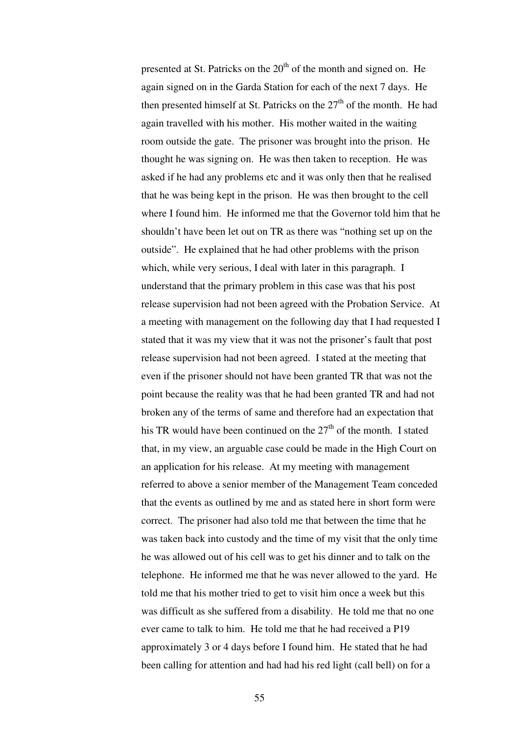presented at St. Patricks on the  $20<sup>th</sup>$  of the month and signed on. He again signed on in the Garda Station for each of the next 7 days. He then presented himself at St. Patricks on the  $27<sup>th</sup>$  of the month. He had again travelled with his mother. His mother waited in the waiting room outside the gate. The prisoner was brought into the prison. He thought he was signing on. He was then taken to reception. He was asked if he had any problems etc and it was only then that he realised that he was being kept in the prison. He was then brought to the cell where I found him. He informed me that the Governor told him that he shouldn't have been let out on TR as there was "nothing set up on the outside". He explained that he had other problems with the prison which, while very serious, I deal with later in this paragraph. I understand that the primary problem in this case was that his post release supervision had not been agreed with the Probation Service. At a meeting with management on the following day that I had requested I stated that it was my view that it was not the prisoner's fault that post release supervision had not been agreed. I stated at the meeting that even if the prisoner should not have been granted TR that was not the point because the reality was that he had been granted TR and had not broken any of the terms of same and therefore had an expectation that his TR would have been continued on the  $27<sup>th</sup>$  of the month. I stated that, in my view, an arguable case could be made in the High Court on an application for his release. At my meeting with management referred to above a senior member of the Management Team conceded that the events as outlined by me and as stated here in short form were correct. The prisoner had also told me that between the time that he was taken back into custody and the time of my visit that the only time he was allowed out of his cell was to get his dinner and to talk on the telephone. He informed me that he was never allowed to the yard. He told me that his mother tried to get to visit him once a week but this was difficult as she suffered from a disability. He told me that no one ever came to talk to him. He told me that he had received a P19 approximately 3 or 4 days before I found him. He stated that he had been calling for attention and had had his red light (call bell) on for a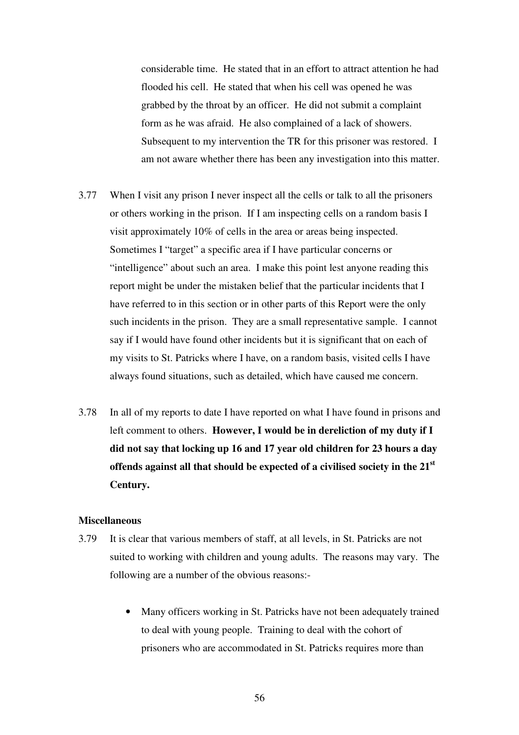considerable time. He stated that in an effort to attract attention he had flooded his cell. He stated that when his cell was opened he was grabbed by the throat by an officer. He did not submit a complaint form as he was afraid. He also complained of a lack of showers. Subsequent to my intervention the TR for this prisoner was restored. I am not aware whether there has been any investigation into this matter.

- 3.77 When I visit any prison I never inspect all the cells or talk to all the prisoners or others working in the prison. If I am inspecting cells on a random basis I visit approximately 10% of cells in the area or areas being inspected. Sometimes I "target" a specific area if I have particular concerns or "intelligence" about such an area. I make this point lest anyone reading this report might be under the mistaken belief that the particular incidents that I have referred to in this section or in other parts of this Report were the only such incidents in the prison. They are a small representative sample. I cannot say if I would have found other incidents but it is significant that on each of my visits to St. Patricks where I have, on a random basis, visited cells I have always found situations, such as detailed, which have caused me concern.
- 3.78 In all of my reports to date I have reported on what I have found in prisons and left comment to others. **However, I would be in dereliction of my duty if I did not say that locking up 16 and 17 year old children for 23 hours a day offends against all that should be expected of a civilised society in the 21st Century.**

### **Miscellaneous**

- 3.79 It is clear that various members of staff, at all levels, in St. Patricks are not suited to working with children and young adults. The reasons may vary. The following are a number of the obvious reasons:-
	- Many officers working in St. Patricks have not been adequately trained to deal with young people. Training to deal with the cohort of prisoners who are accommodated in St. Patricks requires more than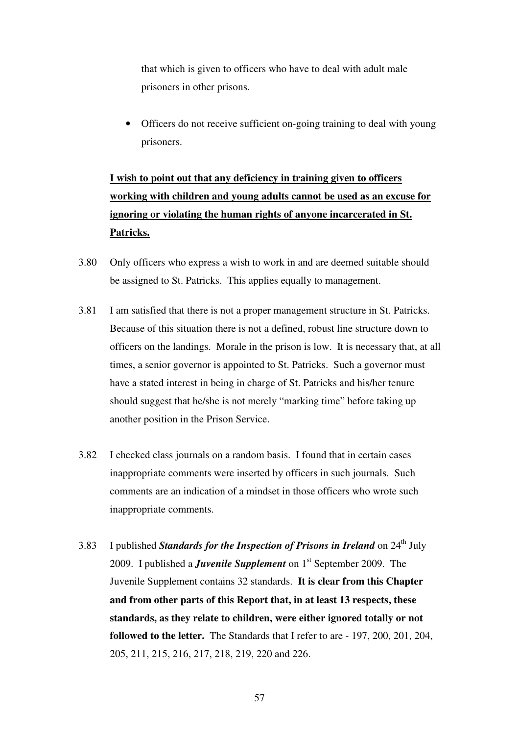that which is given to officers who have to deal with adult male prisoners in other prisons.

• Officers do not receive sufficient on-going training to deal with young prisoners.

**I wish to point out that any deficiency in training given to officers working with children and young adults cannot be used as an excuse for ignoring or violating the human rights of anyone incarcerated in St. Patricks.**

- 3.80 Only officers who express a wish to work in and are deemed suitable should be assigned to St. Patricks. This applies equally to management.
- 3.81 I am satisfied that there is not a proper management structure in St. Patricks. Because of this situation there is not a defined, robust line structure down to officers on the landings. Morale in the prison is low. It is necessary that, at all times, a senior governor is appointed to St. Patricks. Such a governor must have a stated interest in being in charge of St. Patricks and his/her tenure should suggest that he/she is not merely "marking time" before taking up another position in the Prison Service.
- 3.82 I checked class journals on a random basis. I found that in certain cases inappropriate comments were inserted by officers in such journals. Such comments are an indication of a mindset in those officers who wrote such inappropriate comments.
- 3.83 I published *Standards for the Inspection of Prisons in Ireland* on 24<sup>th</sup> July 2009. I published a *Juvenile Supplement* on 1st September 2009. The Juvenile Supplement contains 32 standards. **It is clear from this Chapter and from other parts of this Report that, in at least 13 respects, these standards, as they relate to children, were either ignored totally or not followed to the letter.** The Standards that I refer to are - 197, 200, 201, 204, 205, 211, 215, 216, 217, 218, 219, 220 and 226.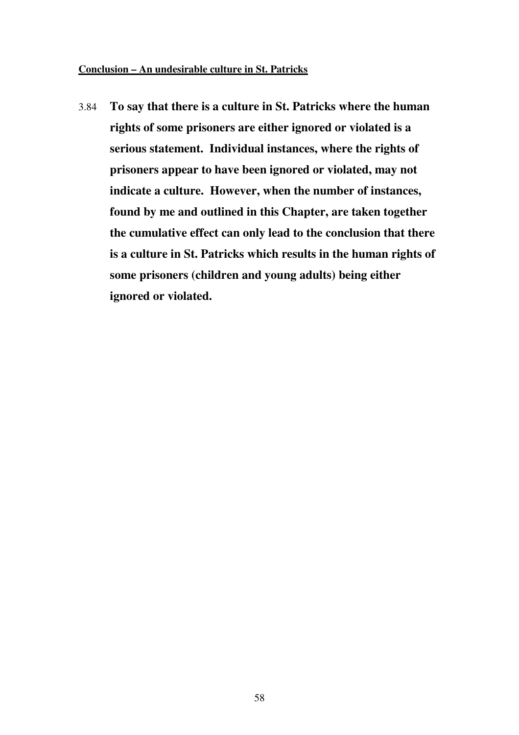## **Conclusion – An undesirable culture in St. Patricks**

3.84 **To say that there is a culture in St. Patricks where the human rights of some prisoners are either ignored or violated is a serious statement. Individual instances, where the rights of prisoners appear to have been ignored or violated, may not indicate a culture. However, when the number of instances, found by me and outlined in this Chapter, are taken together the cumulative effect can only lead to the conclusion that there is a culture in St. Patricks which results in the human rights of some prisoners (children and young adults) being either ignored or violated.**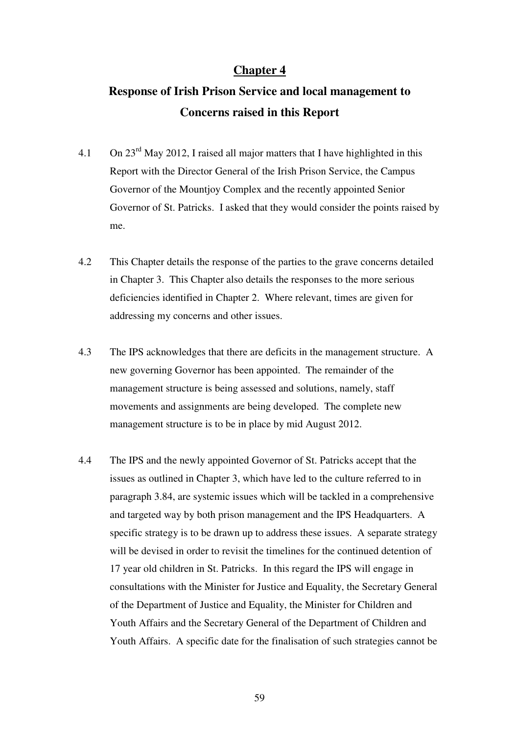## **Chapter 4**

# **Response of Irish Prison Service and local management to Concerns raised in this Report**

- 4.1 On 23rd May 2012, I raised all major matters that I have highlighted in this Report with the Director General of the Irish Prison Service, the Campus Governor of the Mountjoy Complex and the recently appointed Senior Governor of St. Patricks. I asked that they would consider the points raised by me.
- 4.2 This Chapter details the response of the parties to the grave concerns detailed in Chapter 3. This Chapter also details the responses to the more serious deficiencies identified in Chapter 2. Where relevant, times are given for addressing my concerns and other issues.
- 4.3 The IPS acknowledges that there are deficits in the management structure. A new governing Governor has been appointed. The remainder of the management structure is being assessed and solutions, namely, staff movements and assignments are being developed. The complete new management structure is to be in place by mid August 2012.
- 4.4 The IPS and the newly appointed Governor of St. Patricks accept that the issues as outlined in Chapter 3, which have led to the culture referred to in paragraph 3.84, are systemic issues which will be tackled in a comprehensive and targeted way by both prison management and the IPS Headquarters. A specific strategy is to be drawn up to address these issues. A separate strategy will be devised in order to revisit the timelines for the continued detention of 17 year old children in St. Patricks. In this regard the IPS will engage in consultations with the Minister for Justice and Equality, the Secretary General of the Department of Justice and Equality, the Minister for Children and Youth Affairs and the Secretary General of the Department of Children and Youth Affairs. A specific date for the finalisation of such strategies cannot be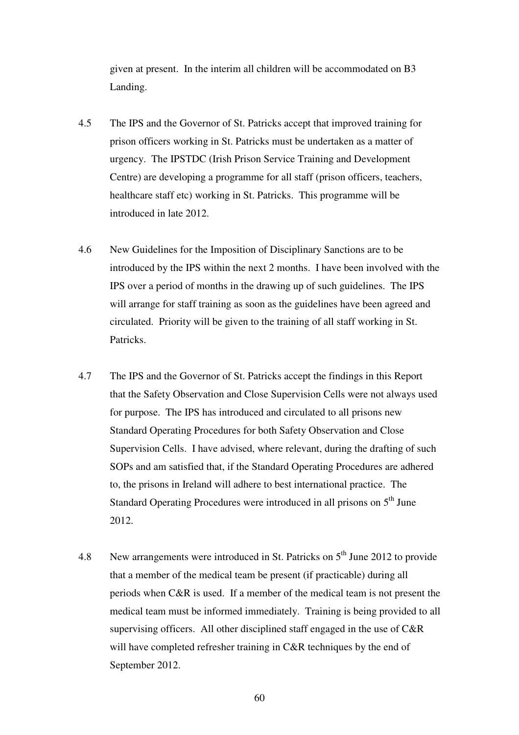given at present. In the interim all children will be accommodated on B3 Landing.

- 4.5 The IPS and the Governor of St. Patricks accept that improved training for prison officers working in St. Patricks must be undertaken as a matter of urgency. The IPSTDC (Irish Prison Service Training and Development Centre) are developing a programme for all staff (prison officers, teachers, healthcare staff etc) working in St. Patricks. This programme will be introduced in late 2012.
- 4.6 New Guidelines for the Imposition of Disciplinary Sanctions are to be introduced by the IPS within the next 2 months. I have been involved with the IPS over a period of months in the drawing up of such guidelines. The IPS will arrange for staff training as soon as the guidelines have been agreed and circulated. Priority will be given to the training of all staff working in St. Patricks.
- 4.7 The IPS and the Governor of St. Patricks accept the findings in this Report that the Safety Observation and Close Supervision Cells were not always used for purpose. The IPS has introduced and circulated to all prisons new Standard Operating Procedures for both Safety Observation and Close Supervision Cells. I have advised, where relevant, during the drafting of such SOPs and am satisfied that, if the Standard Operating Procedures are adhered to, the prisons in Ireland will adhere to best international practice. The Standard Operating Procedures were introduced in all prisons on  $5<sup>th</sup>$  June 2012.
- 4.8 New arrangements were introduced in St. Patricks on  $5<sup>th</sup>$  June 2012 to provide that a member of the medical team be present (if practicable) during all periods when C&R is used. If a member of the medical team is not present the medical team must be informed immediately. Training is being provided to all supervising officers. All other disciplined staff engaged in the use of C&R will have completed refresher training in C&R techniques by the end of September 2012.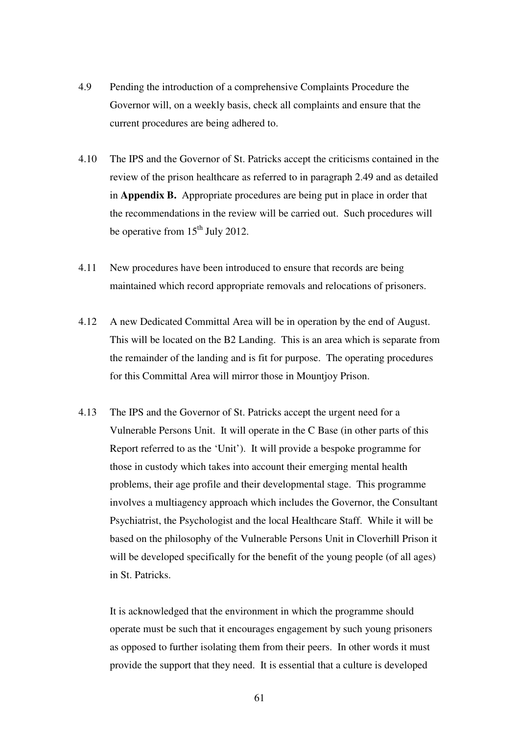- 4.9 Pending the introduction of a comprehensive Complaints Procedure the Governor will, on a weekly basis, check all complaints and ensure that the current procedures are being adhered to.
- 4.10 The IPS and the Governor of St. Patricks accept the criticisms contained in the review of the prison healthcare as referred to in paragraph 2.49 and as detailed in **Appendix B.** Appropriate procedures are being put in place in order that the recommendations in the review will be carried out. Such procedures will be operative from  $15<sup>th</sup>$  July 2012.
- 4.11 New procedures have been introduced to ensure that records are being maintained which record appropriate removals and relocations of prisoners.
- 4.12 A new Dedicated Committal Area will be in operation by the end of August. This will be located on the B2 Landing. This is an area which is separate from the remainder of the landing and is fit for purpose. The operating procedures for this Committal Area will mirror those in Mountjoy Prison.
- 4.13 The IPS and the Governor of St. Patricks accept the urgent need for a Vulnerable Persons Unit. It will operate in the C Base (in other parts of this Report referred to as the 'Unit'). It will provide a bespoke programme for those in custody which takes into account their emerging mental health problems, their age profile and their developmental stage. This programme involves a multiagency approach which includes the Governor, the Consultant Psychiatrist, the Psychologist and the local Healthcare Staff. While it will be based on the philosophy of the Vulnerable Persons Unit in Cloverhill Prison it will be developed specifically for the benefit of the young people (of all ages) in St. Patricks.

 It is acknowledged that the environment in which the programme should operate must be such that it encourages engagement by such young prisoners as opposed to further isolating them from their peers. In other words it must provide the support that they need. It is essential that a culture is developed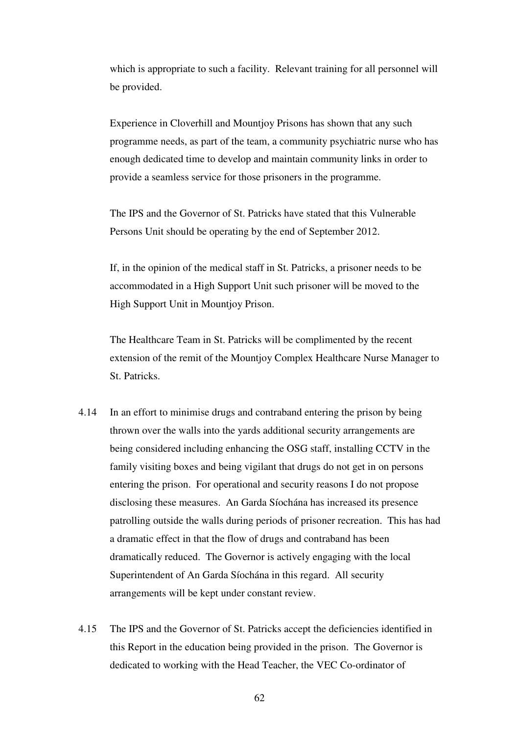which is appropriate to such a facility. Relevant training for all personnel will be provided.

 Experience in Cloverhill and Mountjoy Prisons has shown that any such programme needs, as part of the team, a community psychiatric nurse who has enough dedicated time to develop and maintain community links in order to provide a seamless service for those prisoners in the programme.

 The IPS and the Governor of St. Patricks have stated that this Vulnerable Persons Unit should be operating by the end of September 2012.

 If, in the opinion of the medical staff in St. Patricks, a prisoner needs to be accommodated in a High Support Unit such prisoner will be moved to the High Support Unit in Mountjoy Prison.

 The Healthcare Team in St. Patricks will be complimented by the recent extension of the remit of the Mountjoy Complex Healthcare Nurse Manager to St. Patricks.

- 4.14 In an effort to minimise drugs and contraband entering the prison by being thrown over the walls into the yards additional security arrangements are being considered including enhancing the OSG staff, installing CCTV in the family visiting boxes and being vigilant that drugs do not get in on persons entering the prison. For operational and security reasons I do not propose disclosing these measures. An Garda Síochána has increased its presence patrolling outside the walls during periods of prisoner recreation. This has had a dramatic effect in that the flow of drugs and contraband has been dramatically reduced. The Governor is actively engaging with the local Superintendent of An Garda Síochána in this regard. All security arrangements will be kept under constant review.
- 4.15 The IPS and the Governor of St. Patricks accept the deficiencies identified in this Report in the education being provided in the prison. The Governor is dedicated to working with the Head Teacher, the VEC Co-ordinator of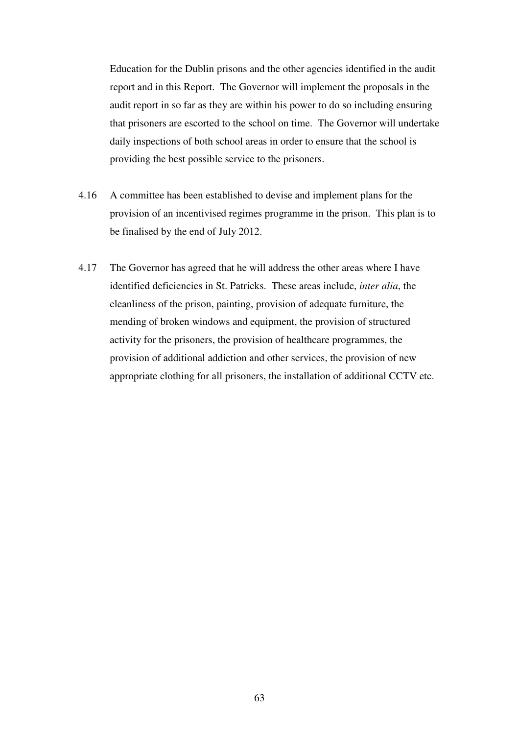Education for the Dublin prisons and the other agencies identified in the audit report and in this Report. The Governor will implement the proposals in the audit report in so far as they are within his power to do so including ensuring that prisoners are escorted to the school on time. The Governor will undertake daily inspections of both school areas in order to ensure that the school is providing the best possible service to the prisoners.

- 4.16 A committee has been established to devise and implement plans for the provision of an incentivised regimes programme in the prison. This plan is to be finalised by the end of July 2012.
- 4.17 The Governor has agreed that he will address the other areas where I have identified deficiencies in St. Patricks. These areas include, *inter alia*, the cleanliness of the prison, painting, provision of adequate furniture, the mending of broken windows and equipment, the provision of structured activity for the prisoners, the provision of healthcare programmes, the provision of additional addiction and other services, the provision of new appropriate clothing for all prisoners, the installation of additional CCTV etc.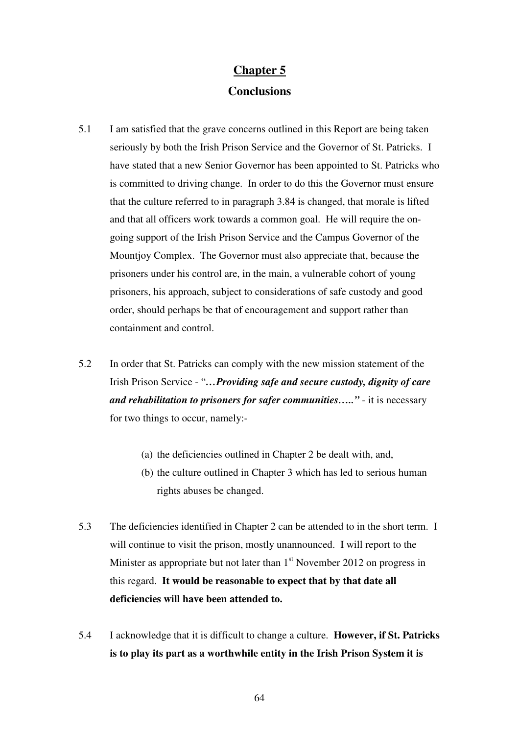## **Chapter 5 Conclusions**

- 5.1 I am satisfied that the grave concerns outlined in this Report are being taken seriously by both the Irish Prison Service and the Governor of St. Patricks. I have stated that a new Senior Governor has been appointed to St. Patricks who is committed to driving change. In order to do this the Governor must ensure that the culture referred to in paragraph 3.84 is changed, that morale is lifted and that all officers work towards a common goal. He will require the ongoing support of the Irish Prison Service and the Campus Governor of the Mountjoy Complex. The Governor must also appreciate that, because the prisoners under his control are, in the main, a vulnerable cohort of young prisoners, his approach, subject to considerations of safe custody and good order, should perhaps be that of encouragement and support rather than containment and control.
- 5.2 In order that St. Patricks can comply with the new mission statement of the Irish Prison Service - "*…Providing safe and secure custody, dignity of care and rehabilitation to prisoners for safer communities….."* - it is necessary for two things to occur, namely:-
	- (a) the deficiencies outlined in Chapter 2 be dealt with, and,
	- (b) the culture outlined in Chapter 3 which has led to serious human rights abuses be changed.
- 5.3 The deficiencies identified in Chapter 2 can be attended to in the short term. I will continue to visit the prison, mostly unannounced. I will report to the Minister as appropriate but not later than  $1<sup>st</sup>$  November 2012 on progress in this regard. **It would be reasonable to expect that by that date all deficiencies will have been attended to.**
- 5.4 I acknowledge that it is difficult to change a culture. **However, if St. Patricks is to play its part as a worthwhile entity in the Irish Prison System it is**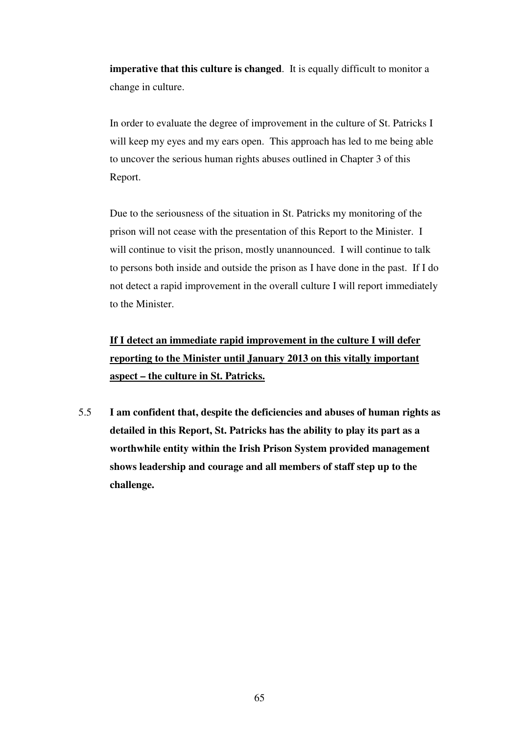**imperative that this culture is changed**. It is equally difficult to monitor a change in culture.

In order to evaluate the degree of improvement in the culture of St. Patricks I will keep my eyes and my ears open. This approach has led to me being able to uncover the serious human rights abuses outlined in Chapter 3 of this Report.

Due to the seriousness of the situation in St. Patricks my monitoring of the prison will not cease with the presentation of this Report to the Minister. I will continue to visit the prison, mostly unannounced. I will continue to talk to persons both inside and outside the prison as I have done in the past. If I do not detect a rapid improvement in the overall culture I will report immediately to the Minister.

**If I detect an immediate rapid improvement in the culture I will defer reporting to the Minister until January 2013 on this vitally important aspect – the culture in St. Patricks.**

5.5 **I am confident that, despite the deficiencies and abuses of human rights as detailed in this Report, St. Patricks has the ability to play its part as a worthwhile entity within the Irish Prison System provided management shows leadership and courage and all members of staff step up to the challenge.**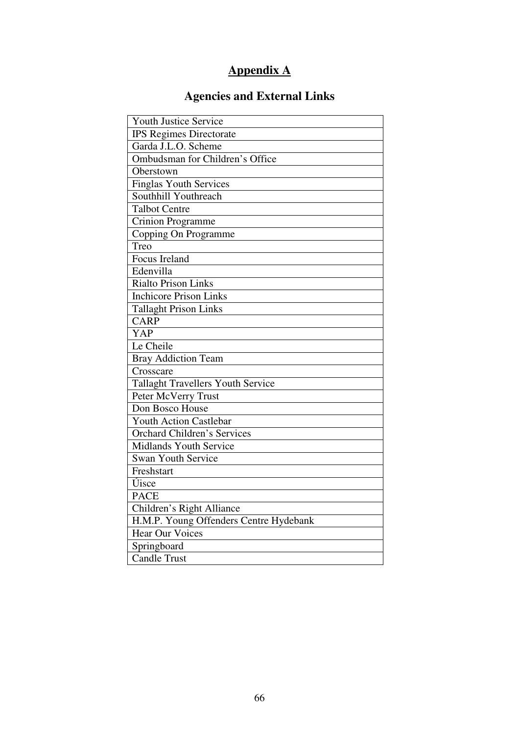# **Appendix A**

# **Agencies and External Links**

| <b>Youth Justice Service</b>             |  |  |  |
|------------------------------------------|--|--|--|
| <b>IPS Regimes Directorate</b>           |  |  |  |
| Garda J.L.O. Scheme                      |  |  |  |
| Ombudsman for Children's Office          |  |  |  |
| Oberstown                                |  |  |  |
| <b>Finglas Youth Services</b>            |  |  |  |
| Southhill Youthreach                     |  |  |  |
| <b>Talbot Centre</b>                     |  |  |  |
| <b>Crinion Programme</b>                 |  |  |  |
| Copping On Programme                     |  |  |  |
| Treo                                     |  |  |  |
| Focus Ireland                            |  |  |  |
| Edenvilla                                |  |  |  |
| Rialto Prison Links                      |  |  |  |
| <b>Inchicore Prison Links</b>            |  |  |  |
| <b>Tallaght Prison Links</b>             |  |  |  |
| <b>CARP</b>                              |  |  |  |
| <b>YAP</b>                               |  |  |  |
| Le Cheile                                |  |  |  |
| <b>Bray Addiction Team</b>               |  |  |  |
| Crosscare                                |  |  |  |
| <b>Tallaght Travellers Youth Service</b> |  |  |  |
| Peter McVerry Trust                      |  |  |  |
| Don Bosco House                          |  |  |  |
| <b>Youth Action Castlebar</b>            |  |  |  |
| <b>Orchard Children's Services</b>       |  |  |  |
| <b>Midlands Youth Service</b>            |  |  |  |
| Swan Youth Service                       |  |  |  |
| Freshstart                               |  |  |  |
| Úisce                                    |  |  |  |
| <b>PACE</b>                              |  |  |  |
| Children's Right Alliance                |  |  |  |
| H.M.P. Young Offenders Centre Hydebank   |  |  |  |
| <b>Hear Our Voices</b>                   |  |  |  |
| Springboard                              |  |  |  |
| <b>Candle Trust</b>                      |  |  |  |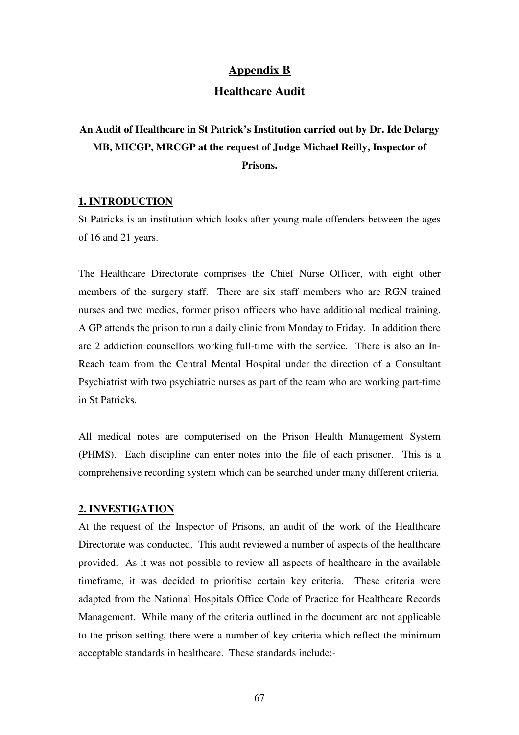## **Appendix B**

## **Healthcare Audit**

## **An Audit of Healthcare in St Patrick's Institution carried out by Dr. Ide Delargy MB, MICGP, MRCGP at the request of Judge Michael Reilly, Inspector of Prisons.**

### **1. INTRODUCTION**

St Patricks is an institution which looks after young male offenders between the ages of 16 and 21 years.

The Healthcare Directorate comprises the Chief Nurse Officer, with eight other members of the surgery staff. There are six staff members who are RGN trained nurses and two medics, former prison officers who have additional medical training. A GP attends the prison to run a daily clinic from Monday to Friday. In addition there are 2 addiction counsellors working full-time with the service. There is also an In-Reach team from the Central Mental Hospital under the direction of a Consultant Psychiatrist with two psychiatric nurses as part of the team who are working part-time in St Patricks.

All medical notes are computerised on the Prison Health Management System (PHMS). Each discipline can enter notes into the file of each prisoner. This is a comprehensive recording system which can be searched under many different criteria.

#### **2. INVESTIGATION**

At the request of the Inspector of Prisons, an audit of the work of the Healthcare Directorate was conducted. This audit reviewed a number of aspects of the healthcare provided. As it was not possible to review all aspects of healthcare in the available timeframe, it was decided to prioritise certain key criteria. These criteria were adapted from the National Hospitals Office Code of Practice for Healthcare Records Management. While many of the criteria outlined in the document are not applicable to the prison setting, there were a number of key criteria which reflect the minimum acceptable standards in healthcare. These standards include:-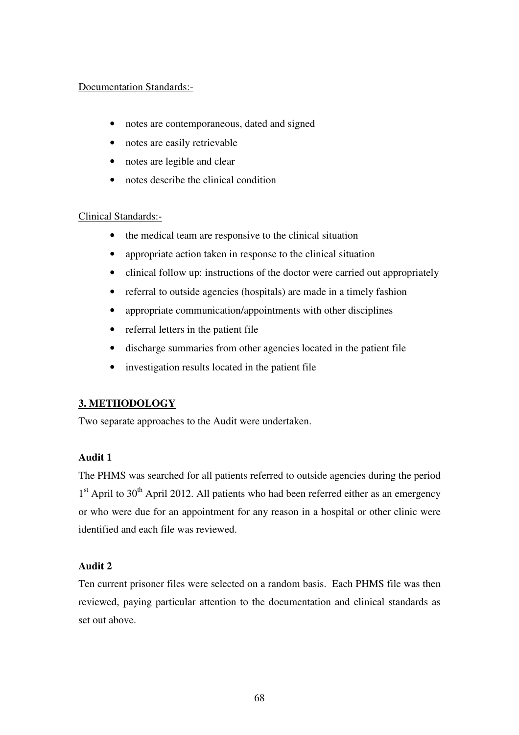## Documentation Standards:-

- notes are contemporaneous, dated and signed
- notes are easily retrievable
- notes are legible and clear
- notes describe the clinical condition

## Clinical Standards:-

- the medical team are responsive to the clinical situation
- appropriate action taken in response to the clinical situation
- clinical follow up: instructions of the doctor were carried out appropriately
- referral to outside agencies (hospitals) are made in a timely fashion
- appropriate communication/appointments with other disciplines
- referral letters in the patient file
- discharge summaries from other agencies located in the patient file
- investigation results located in the patient file

## **3. METHODOLOGY**

Two separate approaches to the Audit were undertaken.

## **Audit 1**

The PHMS was searched for all patients referred to outside agencies during the period  $1<sup>st</sup>$  April to 30<sup>th</sup> April 2012. All patients who had been referred either as an emergency or who were due for an appointment for any reason in a hospital or other clinic were identified and each file was reviewed.

## **Audit 2**

Ten current prisoner files were selected on a random basis. Each PHMS file was then reviewed, paying particular attention to the documentation and clinical standards as set out above.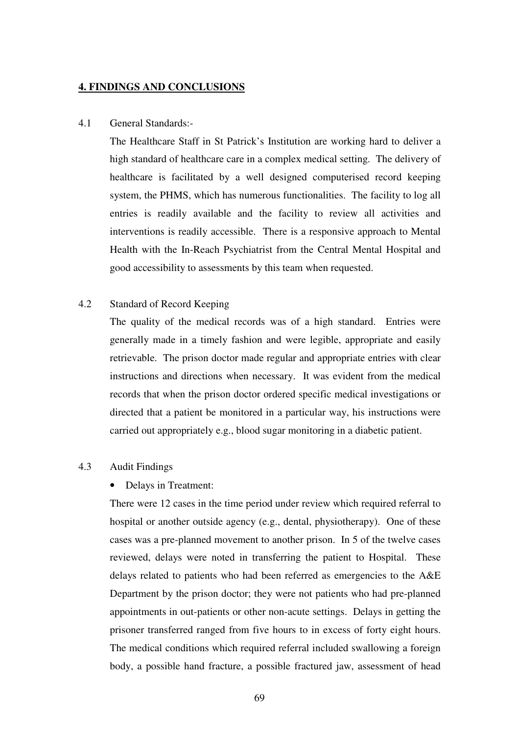#### **4. FINDINGS AND CONCLUSIONS**

#### 4.1 General Standards:-

The Healthcare Staff in St Patrick's Institution are working hard to deliver a high standard of healthcare care in a complex medical setting. The delivery of healthcare is facilitated by a well designed computerised record keeping system, the PHMS, which has numerous functionalities. The facility to log all entries is readily available and the facility to review all activities and interventions is readily accessible. There is a responsive approach to Mental Health with the In-Reach Psychiatrist from the Central Mental Hospital and good accessibility to assessments by this team when requested.

## 4.2 Standard of Record Keeping

The quality of the medical records was of a high standard. Entries were generally made in a timely fashion and were legible, appropriate and easily retrievable. The prison doctor made regular and appropriate entries with clear instructions and directions when necessary. It was evident from the medical records that when the prison doctor ordered specific medical investigations or directed that a patient be monitored in a particular way, his instructions were carried out appropriately e.g., blood sugar monitoring in a diabetic patient.

## 4.3 Audit Findings

#### • Delays in Treatment:

There were 12 cases in the time period under review which required referral to hospital or another outside agency (e.g., dental, physiotherapy). One of these cases was a pre-planned movement to another prison. In 5 of the twelve cases reviewed, delays were noted in transferring the patient to Hospital. These delays related to patients who had been referred as emergencies to the A&E Department by the prison doctor; they were not patients who had pre-planned appointments in out-patients or other non-acute settings. Delays in getting the prisoner transferred ranged from five hours to in excess of forty eight hours. The medical conditions which required referral included swallowing a foreign body, a possible hand fracture, a possible fractured jaw, assessment of head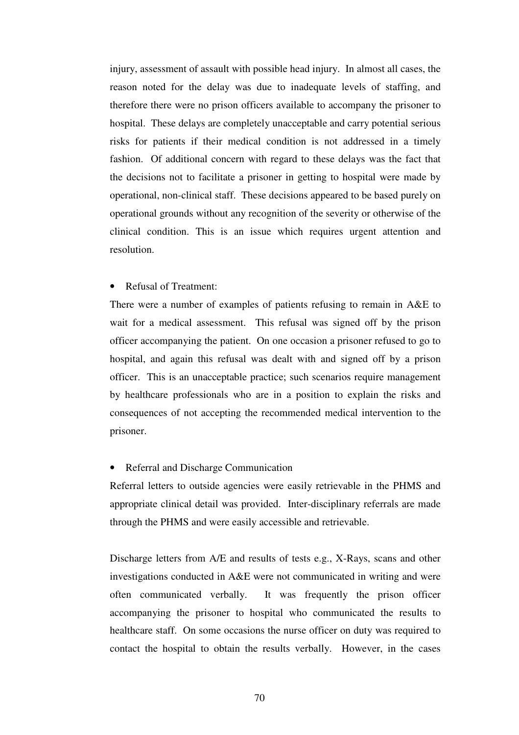injury, assessment of assault with possible head injury. In almost all cases, the reason noted for the delay was due to inadequate levels of staffing, and therefore there were no prison officers available to accompany the prisoner to hospital. These delays are completely unacceptable and carry potential serious risks for patients if their medical condition is not addressed in a timely fashion. Of additional concern with regard to these delays was the fact that the decisions not to facilitate a prisoner in getting to hospital were made by operational, non-clinical staff. These decisions appeared to be based purely on operational grounds without any recognition of the severity or otherwise of the clinical condition. This is an issue which requires urgent attention and resolution.

#### • Refusal of Treatment:

There were a number of examples of patients refusing to remain in A&E to wait for a medical assessment. This refusal was signed off by the prison officer accompanying the patient. On one occasion a prisoner refused to go to hospital, and again this refusal was dealt with and signed off by a prison officer. This is an unacceptable practice; such scenarios require management by healthcare professionals who are in a position to explain the risks and consequences of not accepting the recommended medical intervention to the prisoner.

#### • Referral and Discharge Communication

Referral letters to outside agencies were easily retrievable in the PHMS and appropriate clinical detail was provided. Inter-disciplinary referrals are made through the PHMS and were easily accessible and retrievable.

Discharge letters from A/E and results of tests e.g., X-Rays, scans and other investigations conducted in A&E were not communicated in writing and were often communicated verbally. It was frequently the prison officer accompanying the prisoner to hospital who communicated the results to healthcare staff. On some occasions the nurse officer on duty was required to contact the hospital to obtain the results verbally. However, in the cases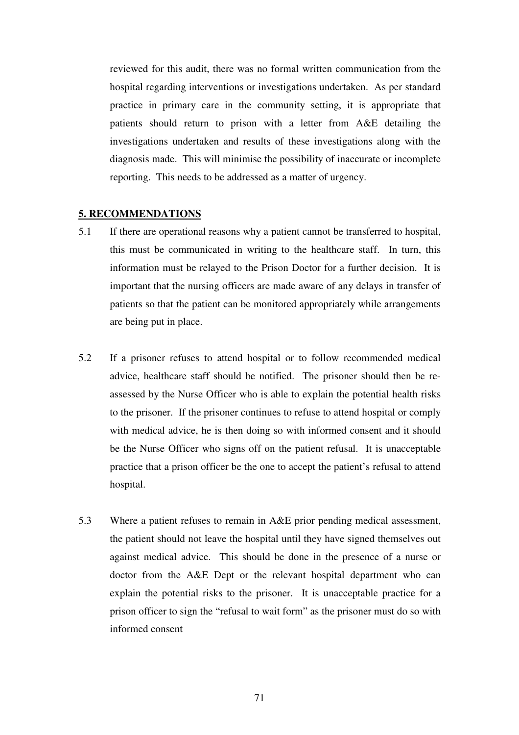reviewed for this audit, there was no formal written communication from the hospital regarding interventions or investigations undertaken. As per standard practice in primary care in the community setting, it is appropriate that patients should return to prison with a letter from A&E detailing the investigations undertaken and results of these investigations along with the diagnosis made. This will minimise the possibility of inaccurate or incomplete reporting. This needs to be addressed as a matter of urgency.

#### **5. RECOMMENDATIONS**

- 5.1 If there are operational reasons why a patient cannot be transferred to hospital, this must be communicated in writing to the healthcare staff. In turn, this information must be relayed to the Prison Doctor for a further decision. It is important that the nursing officers are made aware of any delays in transfer of patients so that the patient can be monitored appropriately while arrangements are being put in place.
- 5.2 If a prisoner refuses to attend hospital or to follow recommended medical advice, healthcare staff should be notified. The prisoner should then be reassessed by the Nurse Officer who is able to explain the potential health risks to the prisoner. If the prisoner continues to refuse to attend hospital or comply with medical advice, he is then doing so with informed consent and it should be the Nurse Officer who signs off on the patient refusal. It is unacceptable practice that a prison officer be the one to accept the patient's refusal to attend hospital.
- 5.3 Where a patient refuses to remain in A&E prior pending medical assessment, the patient should not leave the hospital until they have signed themselves out against medical advice. This should be done in the presence of a nurse or doctor from the A&E Dept or the relevant hospital department who can explain the potential risks to the prisoner. It is unacceptable practice for a prison officer to sign the "refusal to wait form" as the prisoner must do so with informed consent